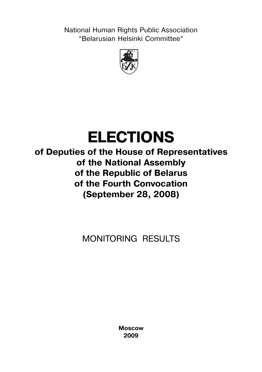**National Human Rights Public Association** "Belarusian Helsinki Committee"



# **ELECTIONS**

**of Deputies of the House of Representatives of the National Assembly of the Republic of Belarus of the Fourth Convocation (September 28, 2008)**

MONITORING RESULTS

**Moscow 2009**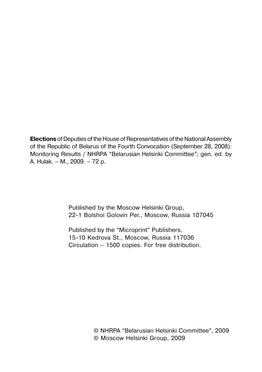**Elections** of Deputies of the House of Representatives of the National Assembly of the Republic of Belarus of the Fourth Convocation (September 28, 2008): Monitoring Results / NHRPA "Belarusian Helsinki Committee"; gen. ed. by A. Hulak. – M., 2009. – 72 p.

> Published by the Moscow Helsinki Group, 22-1 Bolshoi Golovin Per., Moscow, Russia 107045

Published by the "Microprint" Publishers, 15-10 Kedrova St., Moscow, Russia 117036 Circulation – 1500 copies. For free distribution.

> © NHRPA "Belarusian Helsinki Committee", 2009 © Moscow Helsinki Group, 2009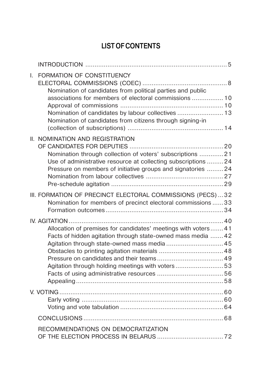# **LIST OF CONTENTS**

| L. | FORMATION OF CONSTITUENCY<br>Nomination of candidates from political parties and public<br>associations for members of electoral commissions  10<br>Nomination of candidates by labour collectives  13<br>Nomination of candidates from citizens through signing-in |  |
|----|---------------------------------------------------------------------------------------------------------------------------------------------------------------------------------------------------------------------------------------------------------------------|--|
|    | II. NOMINATION AND REGISTRATION<br>Nomination through collection of voters' subscriptions 21<br>Use of administrative resource at collecting subscriptions  24<br>Pressure on members of initiative groups and signatories 24                                       |  |
|    | III. FORMATION OF PRECINCT ELECTORAL COMMISSIONS (PECS)32<br>Nomination for members of precinct electoral commissions  33                                                                                                                                           |  |
|    | Allocation of premises for candidates' meetings with voters 41<br>Facts of hidden agitation through state-owned mass media  42<br>Agitation through state-owned mass media  45<br>Agitation through holding meetings with voters53                                  |  |
|    |                                                                                                                                                                                                                                                                     |  |
|    |                                                                                                                                                                                                                                                                     |  |
|    | RECOMMENDATIONS ON DEMOCRATIZATION                                                                                                                                                                                                                                  |  |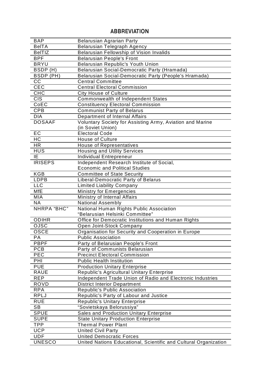## **Results of Election MonitoringABBREVIATION**

| <b>BAP</b>                  | <b>Belarusian Agrarian Party</b>                                                                    |
|-----------------------------|-----------------------------------------------------------------------------------------------------|
| <b>BelTA</b>                | <b>Belarusian Telegraph Agency</b>                                                                  |
| <b>BelTIZ</b>               | <b>Belarusian Fellowship of Vision Invalids</b>                                                     |
| <b>BPF</b>                  | <b>Belarusian People's Front</b>                                                                    |
| <b>BRYU</b>                 | Belarusian Republic's Youth Union                                                                   |
| BSDP(H)                     | Belarusian Social-Democratic Party (Hramada)                                                        |
| BSDP (PH)                   | Belarusian Social-Democratic Party (People's Hramada)                                               |
| $\overline{cc}$             | <b>Central Committee</b>                                                                            |
| CEC                         | <b>Central Electoral Commission</b>                                                                 |
| CHC                         | <b>City House of Culture</b>                                                                        |
| <b>CIS</b>                  | Commonwealth of Independent States                                                                  |
| CoEC                        | <b>Constituency Electoral Commission</b>                                                            |
| CPB                         | <b>Communist Party of Belarus</b>                                                                   |
| <b>DIA</b>                  | Department of Internal Affairs                                                                      |
| <b>DOSAAF</b>               | Voluntary Society for Assisting Army, Aviation and Marine                                           |
|                             | (in Soviet Union)                                                                                   |
| EC                          | <b>Electoral Code</b>                                                                               |
| H <sub>C</sub>              | <b>House of Culture</b>                                                                             |
| <b>HR</b>                   | <b>House of Representatives</b>                                                                     |
| <b>HUS</b>                  | <b>Housing and Utility Services</b>                                                                 |
| IE.                         | <b>Individual Entrepreneur</b>                                                                      |
| <b>IRISEPS</b>              | Independent Research Institute of Social,                                                           |
|                             | <b>Economic and Political Studies</b>                                                               |
| KGB                         | <b>Committee of State Security</b>                                                                  |
| <b>LDPB</b>                 | Liberal-Democratic Party of Belarus                                                                 |
| <b>LLC</b>                  | <b>Limited Liability Company</b>                                                                    |
| MfE                         | <b>Ministry for Emergencies</b>                                                                     |
| MIA                         | Ministry of Internal Affairs                                                                        |
| <b>NA</b>                   | <b>National Assembly</b>                                                                            |
| NHRPA "BHC"                 | National Human Rights Public Association                                                            |
|                             | "Belarusian Helsinki Committee"                                                                     |
| <b>ODIHR</b>                | Office for Democratic Institutions and Human Rights                                                 |
| OJSC                        | Open Joint-Stock Company                                                                            |
| <b>OSCE</b>                 | Organisation for Security and Cooperation in Europe                                                 |
| <b>PA</b>                   | <b>Public Association</b>                                                                           |
| PBPF                        | Party of Belarusian People's Front                                                                  |
| PCB                         | Party of Communists Belarusian                                                                      |
| PEC                         | <b>Precinct Electoral Commission</b>                                                                |
| PHI                         | <b>Public Health Institution</b>                                                                    |
| <b>PUE</b>                  | <b>Production Unitary Enterprise</b>                                                                |
| <b>RAUE</b>                 | Republic's Agricultural Unitary Enterprise                                                          |
| <b>REP</b>                  | Independent Trade Union of Radio and Electronic Industries                                          |
| ROVD                        | <b>District Interior Department</b>                                                                 |
| <b>RPA</b>                  | Republic's Public Association                                                                       |
| <b>RPLJ</b>                 | Republic's Party of Labour and Justice                                                              |
| <b>RUE</b>                  | Republic's Unitary Enterprise                                                                       |
| SB                          | "Sovietskaya Belorussiya"                                                                           |
| <b>SPUE</b>                 | Sales and Production Unitary Enterprise                                                             |
| <b>SUPE</b>                 |                                                                                                     |
|                             |                                                                                                     |
|                             | <b>State Unitary Production Enterprise</b>                                                          |
| $\overline{\text{TPP}}$     | <b>Thermal Power Plant</b>                                                                          |
| <b>UCP</b>                  | <b>United Civil Party</b>                                                                           |
| <b>UDF</b><br><b>UNESCO</b> | <b>United Democratic Forces</b><br>United Nations Educational, Scientific and Cultural Organization |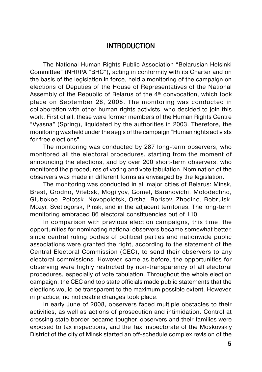## **INTRODUCTION**

<span id="page-4-0"></span>The National Human Rights Public Association "Belarusian Helsinki Committee" (NHRPA "BHC"), acting in conformity with its Charter and on the basis of the legislation in force, held a monitoring of the campaign on elections of Deputies of the House of Representatives of the National Assembly of the Republic of Belarus of the  $4<sup>th</sup>$  convocation, which took place on September 28, 2008. The monitoring was conducted in collaboration with other human rights activists, who decided to join this work. First of all, these were former members of the Human Rights Centre "Vyasna" (Spring), liquidated by the authorities in 2003. Therefore, the monitoring was held under the aegis of the campaign "Human rights activists for free elections".

The monitoring was conducted by 287 long-term observers, who monitored all the electoral procedures, starting from the moment of announcing the elections, and by over 200 short-term observers, who monitored the procedures of voting and vote tabulation. Nomination of the observers was made in different forms as envisaged by the legislation.

The monitoring was conducted in all major cities of Belarus: Minsk, Brest, Grodno, Vitebsk, Mogilyov, Gomel, Baranovichi, Molodechno, Glubokoe, Polotsk, Novopolotsk, Orsha, Borisov, Zhodino, Bobruisk, Mozyr, Svetlogorsk, Pinsk, and in the adjacent territories. The long-term monitoring embraced 86 electoral constituencies out of 110.

In comparison with previous election campaigns, this time, the opportunities for nominating national observers became somewhat better, since central ruling bodies of political parties and nationwide public associations were granted the right, according to the statement of the Central Electoral Commission (CEC), to send their observers to any electoral commissions. However, same as before, the opportunities for observing were highly restricted by non-transparency of all electoral procedures, especially of vote tabulation. Throughout the whole election campaign, the CEC and top state officials made public statements that the elections would be transparent to the maximum possible extent. However, in practice, no noticeable changes took place.

In early June of 2008, observers faced multiple obstacles to their activities, as well as actions of prosecution and intimidation. Control at crossing state border became tougher, observers and their families were exposed to tax inspections, and the Tax Inspectorate of the Moskovskiy District of the city of Minsk started an off-schedule complex revision of the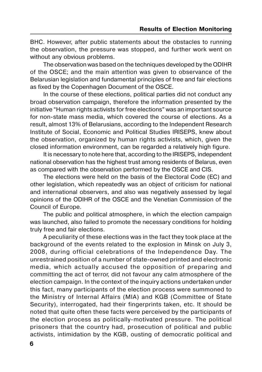BHC. However, after public statements about the obstacles to running the observation, the pressure was stopped, and further work went on without any obvious problems.

The observation was based on the techniques developed by the ODIHR of the OSCE; and the main attention was given to observance of the Belarusian legislation and fundamental principles of free and fair elections as fixed by the Copenhagen Document of the OSCE.

In the course of these elections, political parties did not conduct any broad observation campaign, therefore the information presented by the initiative "Human rights activists for free elections" was an important source for non-state mass media, which covered the course of elections. As a result, almost 13% of Belarusians, according to the Independent Research Institute of Social, Economic and Political Studies IRISEPS, knew about the observation, organized by human rights activists, which, given the closed information environment, can be regarded a relatively high figure.

It is necessary to note here that, according to the IRISEPS, independent national observation has the highest trust among residents of Belarus, even as compared with the observation performed by the OSCE and CIS.

The elections were held on the basis of the Electoral Code (EC) and other legislation, which repeatedly was an object of criticism for national and international observers, and also was negatively assessed by legal opinions of the ODIHR of the OSCE and the Venetian Commission of the Council of Europe.

The public and political atmosphere, in which the election campaign was launched, also failed to promote the necessary conditions for holding truly free and fair elections.

A peculiarity of these elections was in the fact they took place at the background of the events related to the explosion in Minsk on July 3, 2008, during official celebrations of the Independence Day. The unrestrained position of a number of state-owned printed and electronic media, which actually accused the opposition of preparing and committing the act of terror, did not favour any calm atmosphere of the election campaign. In the context of the inquiry actions undertaken under this fact, many participants of the election process were summoned to the Ministry of Internal Affairs (MIA) and KGB (Committee of State Security), interrogated, had their fingerprints taken, etc. It should be noted that quite often these facts were perceived by the participants of the election process as politically-motivated pressure. The political prisoners that the country had, prosecution of political and public activists, intimidation by the KGB, ousting of democratic political and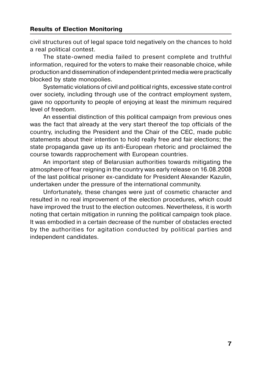civil structures out of legal space told negatively on the chances to hold a real political contest.

The state-owned media failed to present complete and truthful information, required for the voters to make their reasonable choice, while production and dissemination of independent printed media were practically blocked by state monopolies.

Systematic violations of civil and political rights, excessive state control over society, including through use of the contract employment system, gave no opportunity to people of enjoying at least the minimum required level of freedom.

An essential distinction of this political campaign from previous ones was the fact that already at the very start thereof the top officials of the country, including the President and the Chair of the CEC, made public statements about their intention to hold really free and fair elections; the state propaganda gave up its anti-European rhetoric and proclaimed the course towards rapprochement with European countries.

An important step of Belarusian authorities towards mitigating the atmosphere of fear reigning in the country was early release on 16.08.2008 of the last political prisoner ex-candidate for President Alexander Kazulin, undertaken under the pressure of the international community.

Unfortunately, these changes were just of cosmetic character and resulted in no real improvement of the election procedures, which could have improved the trust to the election outcomes. Nevertheless, it is worth noting that certain mitigation in running the political campaign took place. It was embodied in a certain decrease of the number of obstacles erected by the authorities for agitation conducted by political parties and independent candidates.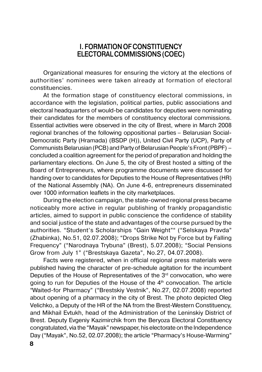## **І. FORMATION OF CONSTITUENCY ELECTORAL COMMISSIONS (COEC)**

<span id="page-7-0"></span>Organizational measures for ensuring the victory at the elections of authorities' nominees were taken already at formation of electoral constituencies.

At the formation stage of constituency electoral commissions, in accordance with the legislation, political parties, public associations and electoral headquarters of would-be candidates for deputies were nominating their candidates for the members of constituency electoral commissions. Essential activities were observed in the city of Brest, where in March 2008 regional branches of the following oppositional parties – Belarusian Social- Democratic Party (Hramada) (BSDP (H)), United Civil Party (UCP), Party of Communists Belarusian (PCB) and Party of Belarusian People's Front (PBPF) – concluded a coalition agreement for the period of preparation and holding the parliamentary elections. On June 5, the city of Brest hosted a sitting of the Board of Entrepreneurs, where programme documents were discussed for handing over to candidates for Deputies to the House of Representatives (HR) of the National Assembly (NA). On June 4-6, entrepreneurs disseminated over 1000 information leaflets in the city marketplaces.

During the election campaign, the state-owned regional press became noticeably more active in regular publishing of frankly propagandistic articles, aimed to support in public conscience the confidence of stability and social justice of the state and advantages of the course pursued by the authorities. "Student's Scholarships "Gain Weight"" ("Selskaya Pravda" (Zhabinka), No.51, 02.07.2008); "Drops Strike Not by Force but by Falling Frequency" ("Narodnaya Trybuna" (Brest), 5.07.2008); "Social Pensions Grow from July 1" ("Brestskaya Gazeta", No.27, 04.07.2008).

Facts were registered, when in official regional press materials were published having the character of pre-schedule agitation for the incumbent Deputies of the House of Representatives of the  $3<sup>rd</sup>$  convocation, who were going to run for Deputies of the House of the  $4<sup>th</sup>$  convocation. The article "Waited-for Pharmacy" ("Brestskiy Vestnik", No.27, 02.07.2008) reported about opening of a pharmacy in the city of Brest. The photo depicted Oleg Velichko, a Deputy of the HR of the NA from the Brest-Western Constituency, and Mikhail Evtukh, head of the Administration of the Leninskiy District of Brest. Deputy Evgeniy Kazimirchik from the Beryoza Electoral Constituency congratulated, via the "Mayak" newspaper, his electorate on the Independence Day ("Mayak", No.52, 02.07.2008); the article "Pharmacy's House-Warming"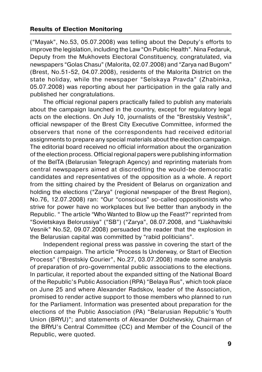("Mayak", No.53, 05.07.2008) was telling about the Deputy's efforts to improve the legislation, including the Law "On Public Health". Nina Fedaruk, Deputy from the Mukhovets Electoral Constituency, congratulated, via newspapers "Golas Chasu" (Malorita, 02.07.2008) and "Zarya nad Bugom" (Brest, No.51-52, 04.07.2008), residents of the Malorita District on the state holiday, while the newspaper "Selskaya Pravda" (Zhabinka, 05.07.2008) was reporting about her participation in the gala rally and published her congratulations.

The official regional papers practically failed to publish any materials about the campaign launched in the country, except for regulatory legal acts on the elections. On July 10, journalists of the "Brestskiy Vestnik", official newspaper of the Brest City Executive Committee, informed the observers that none of the correspondents had received editorial assignments to prepare any special materials about the election campaign. The editorial board received no official information about the organization of the election process. Official regional papers were publishing information of the BelTA (Belarusian Telegraph Agency) and reprinting materials from central newspapers aimed at discrediting the would-be democratic candidates and representatives of the opposition as a whole. A report from the sitting chaired by the President of Belarus on organization and holding the elections ("Zarya" (regional newspaper of the Brest Region), No.76, 12.07.2008) ran: "Our "conscious" so-called oppositionists who strive for power have no workplaces but live better than anybody in the Republic. " The article "Who Wanted to Blow up the Feast?" reprinted from "Sovietskaya Belorussiya" ("SB") ("Zarya", 08.07.2008, and "Liakhavitski Vesnik" No.52, 09.07.2008) persuaded the reader that the explosion in the Belarusian capital was committed by "rabid politicians".

Independent regional press was passive in covering the start of the election campaign. The article "Process Is Underway, or Start of Election Process" ("Brestskiy Courier", No.27, 03.07.2008) made some analysis of preparation of pro-governmental public associations to the elections. In particular, it reported about the expanded sitting of the National Board of the Republic's Public Association (RPA) "Belaya Rus", which took place on June 25 and where Alexander Radskov, leader of the Association, promised to render active support to those members who planned to run for the Parliament. Information was presented about preparation for the elections of the Public Association (PA) "Belarusian Republic's Youth Union (BRYU)"; and statements of Alexander Dolzhevskiy, Chairman of the BRYU's Central Committee (CC) and Member of the Council of the Republic, were quoted.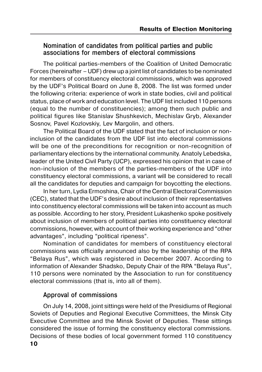## <span id="page-9-0"></span>**Nomination of candidates from political parties and public associations for members of electoral commissions**

The political parties-members of the Coalition of United Democratic Forces (hereinafter – UDF) drew up a joint list of candidates to be nominated for members of constituency electoral commissions, which was approved by the UDF's Political Board on June 8, 2008. The list was formed under the following criteria: experience of work in state bodies, civil and political status, place of work and education level. The UDF list included 110 persons (equal to the number of constituencies); among them such public and political figures like Stanislav Shushkevich, Mechislav Gryb, Alexander Sosnov, Pavel Kozlovskiy, Lev Margolin, and others.

The Political Board of the UDF stated that the fact of inclusion or noninclusion of the candidates from the UDF list into electoral commissions will be one of the preconditions for recognition or non-recognition of parliamentary elections by the international community. Anatoly Lebedska, leader of the United Civil Party (UCP), expressed his opinion that in case of non-inclusion of the members of the parties-members of the UDF into constituency electoral commissions, a variant will be considered to recall all the candidates for deputies and campaign for boycotting the elections.

In her turn, Lydia Ermoshina, Chair of the Central Electoral Commission (CEC), stated that the UDF's desire about inclusion of their representatives into constituency electoral commissions will be taken into account as much as possible. According to her story, President Lukashenko spoke positively about inclusion of members of political parties into constituency electoral commissions, however, with account of their working experience and "other advantages", including "political ripeness".

Nomination of candidates for members of constituency electoral commissions was officially announced also by the leadership of the RPA "Belaya Rus", which was registered in December 2007. According to information of Alexander Shadsko, Deputy Chair of the RPA "Belaya Rus", 110 persons were nominated by the Association to run for constituency electoral commissions (that is, into all of them).

## **Approval of commissions**

**10** On July 14, 2008, joint sittings were held of the Presidiums of Regional Soviets of Deputies and Regional Executive Committees, the Minsk City Executive Committee and the Minsk Soviet of Deputies. These sittings considered the issue of forming the constituency electoral commissions. Decisions of these bodies of local government formed 110 constituency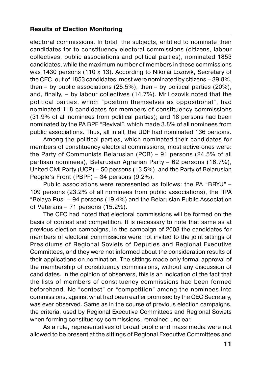electoral commissions. In total, the subjects, entitled to nominate their candidates for to constituency electoral commissions (citizens, labour collectives, public associations and political parties), nominated 1853 candidates, while the maximum number of members in these commissions was 1430 persons (110 x 13). According to Nikolai Lozovik, Secretary of the CEC, out of 1853 candidates, most were nominated by citizens – 39.8%, then – by public associations (25.5%), then – by political parties (20%), and, finally, – by labour collectives (14.7%). Mr Lozovik noted that the political parties, which "position themselves as oppositional", had nominated 118 candidates for members of constituency commissions (31.9% of all nominees from political parties); and 18 persons had been nominated by the PA BPF "Revival", which made 3.8% of all nominees from public associations. Thus, all in all, the UDF had nominated 136 persons.

Among the political parties, which nominated their candidates for members of constituency electoral commissions, most active ones were: the Party of Communists Belarusian (PCB) – 91 persons (24.5% of all partisan nominees), Belarusian Agrarian Party – 62 persons (16.7%), United Civil Party (UCP) – 50 persons (13.5%), and the Party of Belarusian People's Front (PBPF) – 34 persons (9.2%).

Public associations were represented as follows: the PA "BRYU" – 109 persons (23.2% of all nominees from public associations), the RPA "Belaya Rus" – 94 persons (19.4%) and the Belarusian Public Association of Veterans – 71 persons (15.2%).

The CEC had noted that electoral commissions will be formed on the basis of contest and competition. It is necessary to note that same as at previous election campaigns, in the campaign of 2008 the candidates for members of electoral commissions were not invited to the joint sittings of Presidiums of Regional Soviets of Deputies and Regional Executive Committees, and they were not informed about the consideration results of their applications on nomination. The sittings made only formal approval of the membership of constituency commissions, without any discussion of candidates. In the opinion of observers, this is an indication of the fact that the lists of members of constituency commissions had been formed beforehand. No "contest" or "competition" among the nominees into commissions, against what had been earlier promised by the CEC Secretary, was ever observed. Same as in the course of previous election campaigns, the criteria, used by Regional Executive Committees and Regional Soviets when forming constituency commissions, remained unclear.

As a rule, representatives of broad public and mass media were not allowed to be present at the sittings of Regional Executive Committees and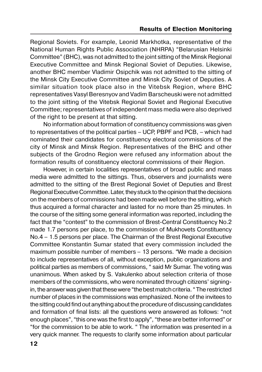Regional Soviets. For example, Leonid Markhotka, representative of the National Human Rights Public Association (NHRPA) "Belarusian Helsinki Committee" (BHC), was not admitted to the joint sitting of the Minsk Regional Executive Committee and Minsk Regional Soviet of Deputies. Likewise, another BHC member Vladimir Osipchik was not admitted to the sitting of the Minsk City Executive Committee and Minsk City Soviet of Deputies. A similar situation took place also in the Vitebsk Region, where BHC representatives Vasyl Beresnyov and Vadim Barscheuski were not admitted to the joint sitting of the Vitebsk Regional Soviet and Regional Executive Committee; representatives of independent mass media were also deprived of the right to be present at that sitting.

No information about formation of constituency commissions was given to representatives of the political parties – UCP, PBPF and PCB, – which had nominated their candidates for constituency electoral commissions of the city of Minsk and Minsk Region. Representatives of the BHC and other subjects of the Grodno Region were refused any information about the formation results of constituency electoral commissions of their Region.

However, in certain localities representatives of broad public and mass media were admitted to the sittings. Thus, observers and journalists were admitted to the sitting of the Brest Regional Soviet of Deputies and Brest Regional Executive Committee. Later, they stuck to the opinion that the decisions on the members of commissions had been made well before the sitting, which thus acquired a formal character and lasted for no more than 25 minutes. In the course of the sitting some general information was reported, including the fact that the "contest" to the commission of Brest-Central Constituency No.2 made 1.7 persons per place, to the commission of Mukhovets Constituency No.4 – 1.5 persons per place. The Chairman of the Brest Regional Executive Committee Konstantin Sumar stated that every commission included the maximum possible number of members – 13 persons. "We made a decision to include representatives of all, without exception, public organizations and political parties as members of commissions, " said Mr Sumar. The voting was unanimous. When asked by S. Vakulenko about selection criteria of those members of the commissions, who were nominated through citizens' signing in, the answer was given that these were "the best match criteria. " The restricted number of places in the commissions was emphasized. None of the invitees to the sitting could find out anything about the procedure of discussing candidates and formation of final lists: all the questions were answered as follows: "not enough places", "this one was the first to apply", "these are better informed" or "for the commission to be able to work. " The information was presented in a very quick manner. The requests to clarify some information about particular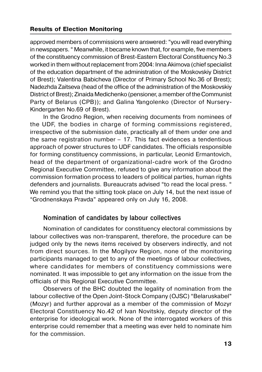<span id="page-12-0"></span>approved members of commissions were answered: "you will read everything in newspapers. " Meanwhile, it became known that, for example, five members of the constituency commission of Brest-Eastern Electoral Constituency No.3 worked in them without replacement from 2004: Іnna Akimova (chief specialist of the education department of the administration of the Moskovskiy District of Brest); Valentina Babicheva (Director of Primary School No.36 of Brest); Nadezhda Zaitseva (head of the office of the administration of the Moskovskiy District of Brest); Zinaida Medichenko (pensioner, a member of the Communist Party of Belarus (CPB)); and Galina Yangolenko (Director of Nursery- Kindergarten No.69 of Brest).

In the Grodno Region, when receiving documents from nominees of the UDF, the bodies in charge of forming commissions registered, irrespective of the submission date, practically all of them under one and the same registration number – 17. This fact evidences a tendentious approach of power structures to UDF candidates. The officials responsible for forming constituency commissions, in particular, Leonid Ermantovich, head of the department of organizational-cadre work of the Grodno Regional Executive Committee, refused to give any information about the commission formation process to leaders of political parties, human rights defenders and journalists. Bureaucrats advised "to read the local press. " We remind you that the sitting took place on July 14, but the next issue of "Grodnenskaya Pravda" appeared only on July 16, 2008.

#### **Nomination of candidates by labour collectives**

Nomination of candidates for constituency electoral commissions by labour collectives was non-transparent, therefore, the procedure can be judged only by the news items received by observers indirectly, and not from direct sources. In the Mogilyov Region, none of the monitoring participants managed to get to any of the meetings of labour collectives, where candidates for members of constituency commissions were nominated. It was impossible to get any information on the issue from the officials of this Regional Executive Committee.

Observers of the BHC doubted the legality of nomination from the labour collective of the Open Joint-Stock Company (OJSC) "Belaruskabel" (Mozyr) and further approval as a member of the commission of Mozyr Electoral Constituency No.42 of Ivan Novitskiy, deputy director of the enterprise for ideological work. None of the interrogated workers of this enterprise could remember that a meeting was ever held to nominate him for the commission.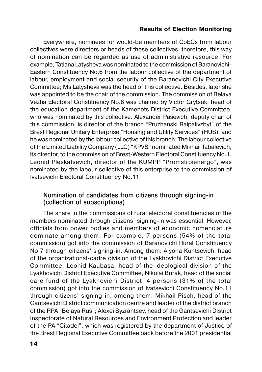<span id="page-13-0"></span>Everywhere, nominees for would-be members of CoECs from labour collectives were directors or heads of these collectives, therefore, this way of nomination can be regarded as use of administrative resource. For example, Tatiana Latysheva was nominated to the commission of Baranovichi-Eastern Constituency No.6 from the labour collective of the department of labour, employment and social security of the Baranovichi City Executive Committee; Ms Latysheva was the head of this collective. Besides, later she was appointed to be the chair of the commission. The commission of Belaya Vezha Electoral Constituency No.8 was chaired by Victor Grytsuk, head of the education department of the Kamenets District Executive Committee, who was nominated by this collective. Alexander Pasevich, deputy chair of this commission, is director of the branch "Pruzhanski Raipalivzbyt" of the Brest Regional Unitary Enterprise "Housing and Utility Services" (HUS), and he was nominated by the labour collective of this branch. The labour collective of the Limited Liability Company (LLC) "KPVS" nominated Mikhail Tabalevich, its director, to the commission of Brest-Western Electoral Constituency No.1. Leonid Pleskatsevich, director of the KUMPP "Promstroienergo", was nominated by the labour collective of this enterprise to the commission of Ivatsevichi Electoral Constituency No.11.

## **Nomination of candidates from citizens through signing-in (collection of subscriptions)**

The share in the commissions of rural electoral constituencies of the members nominated through citizens' signing-in was essential. However, officials from power bodies and members of economic nomenclature dominate among them. For example, 7 persons (54% of the total commission) got into the commission of Baranovichi Rural Constituency No.7 through citizens' signing-in. Among them: Alyona Kuntsevich, head of the organizational-cadre division of the Lyakhovichi District Executive Committee; Leonid Kaubasa, head of the ideological division of the Lyakhovichi District Executive Committee, Nikolai Burak, head of the social care fund of the Lyakhovichi District. 4 persons (31% of the total commission) got into the commission of Ivatsevichi Constituency No.11 through citizens' signing-in, among them: Mikhail Pisch, head of the Gantsevichi District communication centre and leader of the district branch of the RPA "Belaya Rus"; Alexei Syzrantsev, head of the Gantsevichi District Inspectorate of Natural Resources and Environment Protection and leader of the PA "Citadel", which was registered by the department of Justice of the Brest Regional Executive Committee back before the 2001 presidential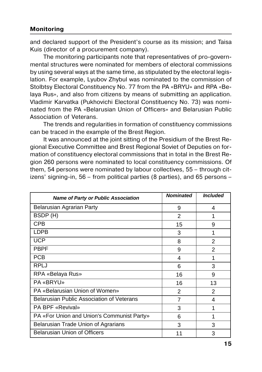## **Monitoring**

and declared support of the President's course as its mission; and Taisa Kuis (director of a procurement company).

The monitoring participants note that representatives of pro-govern mental structures were nominated for members of electoral commissions by using several ways at the same time, as stipulated by the electoral legis lation. For example, Lyubov Zhybul was nominated to the commission of Stolbtsy Electoral Constituency No. 77 from the PA «BRYU» and RPA «Be laya Rus», and also from citizens by means of submitting an application. Vladimir Karvatka (Pukhovichi Electoral Constituency No. 73) was nomi nated from the PA «Belarusian Union of Officers» and Belarusian Public Association of Veterans.

The trends and regularities in formation of constituency commissions can be traced in the example of the Brest Region.

It was announced at the joint sitting of the Presidium of the Brest Re gional Executive Committee and Brest Regional Soviet of Deputies on formation of constituency electoral commissions that in total in the Brest Re gion 260 persons were nominated to local constituency commissions. Of them, 54 persons were nominated by labour collectives, 55 – through cit izens' signing-in, 56 – from political parties (8 parties), and 65 persons –

| <b>Name of Party or Public Association</b> | <b>Nominated</b> | <b>Included</b> |
|--------------------------------------------|------------------|-----------------|
| Belarusian Agrarian Party                  | 9                | 4               |
| BSDP (H)                                   | $\mathfrak{p}$   | 1               |
| CPB                                        | 15               | 9               |
| LDPB                                       | 3                | 1               |
| <b>UCP</b>                                 | 8                | $\mathfrak{p}$  |
| <b>PBPF</b>                                | 9                | 2               |
| <b>PCB</b>                                 | 4                | 1               |
| RPLJ                                       | 6                | 3               |
| RPA «Belaya Rus»                           | 16               | 9               |
| <b>PA «BRYU»</b>                           | 16               | 13              |
| PA «Belarusian Union of Women»             | $\mathfrak{p}$   | 2               |
| Belarusian Public Association of Veterans  | 7                | 4               |
| PA BPF «Revival»                           | 3                | 1               |
| PA «For Union and Union's Communist Party» | 6                | 1               |
| Belarusian Trade Union of Agrarians        | 3                | 3               |
| <b>Belarusian Union of Officers</b>        | 11               | 3               |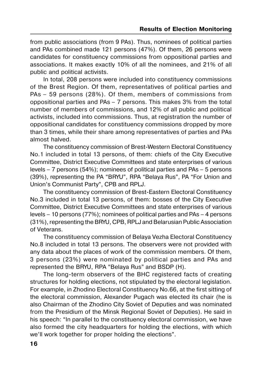from public associations (from 9 PAs). Thus, nominees of political parties and PAs combined made 121 persons (47%). Of them, 26 persons were candidates for constituency commissions from oppositional parties and associations. It makes exactly 10% of all the nominees, and 21% of all public and political activists.

In total, 208 persons were included into constituency commissions of the Brest Region. Of them, representatives of political parties and PAs – 59 persons (28%). Of them, members of commissions from oppositional parties and PAs – 7 persons. This makes 3% from the total number of members of commissions, and 12% of all public and political activists, included into commissions. Thus, at registration the number of oppositional candidates for constituency commissions dropped by more than 3 times, while their share among representatives of parties and PAs almost halved.

The constituency commission of Brest-Western Electoral Constituency No.1 included in total 13 persons, of them: chiefs of the City Executive Committee, District Executive Committees and state enterprises of various levels – 7 persons (54%); nominees of political parties and PAs – 5 persons (39%), representing the PA "BRYU", RPA "Belaya Rus", PA "For Union and Union's Communist Party", CPB and RPLJ.

The constituency commission of Brest-Eastern Electoral Constituency No.3 included in total 13 persons, of them: bosses of the City Executive Committee, District Executive Committees and state enterprises of various levels – 10 persons (77%); nominees of political parties and PAs – 4 persons (31%), representing the BRYU, CPB, RPLJ and Belarusian Public Association of Veterans.

The constituency commission of Belaya Vezha Electoral Constituency No.8 included in total 13 persons. The observers were not provided with any data about the places of work of the commission members. Of them, 3 persons (23%) were nominated by political parties and PAs and represented the BRYU, RPA "Belaya Rus" and BSDP (H).

The long-term observers of the BHC registered facts of creating structures for holding elections, not stipulated by the electoral legislation. For example, in Zhodino Electoral Constituency No.66, at the first sitting of the electoral commission, Alexander Pugach was elected its chair (he is also Chairman of the Zhodino City Soviet of Deputies and was nominated from the Presidium of the Minsk Regional Soviet of Deputies). He said in his speech: "In parallel to the constituency electoral commission, we have also formed the city headquarters for holding the elections, with which we'll work together for proper holding the elections".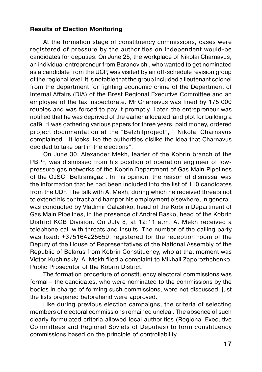At the formation stage of constituency commissions, cases were registered of pressure by the authorities on independent would-be candidates for deputies. On June 25, the workplace of Nikolai Charnavus, an individual entrepreneur from Baranovichi, who wanted to get nominated as a candidate from the UCP, was visited by an off-schedule revision group of the regional level. It is notable that the group included a lieutenant colonel from the department for fighting economic crime of the Department of Internal Affairs (DIA) of the Brest Regional Executive Committee and an employee of the tax inspectorate. Mr Charnavus was fined by 175,000 roubles and was forced to pay it promptly. Later, the entrepreneur was notified that he was deprived of the earlier allocated land plot for building a cafй. "I was gathering various papers for three years, paid money, ordered project documentation at the "Belzhilproject", " Nikolai Charnavus complained. "It looks like the authorities dislike the idea that Charnavus decided to take part in the elections".

On June 30, Alexander Mekh, leader of the Kobrin branch of the PBPF, was dismissed from his position of operation engineer of low pressure gas networks of the Kobrin Department of Gas Main Pipelines of the OJSC "Beltransgaz". In his opinion, the reason of dismissal was the information that he had been included into the list of 110 candidates from the UDF. The talk with А. Mekh, during which he received threats not to extend his contract and hamper his employment elsewhere, in general, was conducted by Vladimir Galashko, head of the Kobrin Department of Gas Main Pipelines, in the presence of Andrei Basko, head of the Kobrin District KGB Division. On July 8, at 12:11 a.m. А. Mekh received a telephone call with threats and insults. The number of the calling party was fixed: +375164225659, registered for the reception room of the Deputy of the House of Representatives of the National Assembly of the Republic of Belarus from Kobrin Constituency, who at that moment was Victor Kuchinskiy. А. Mekh filed a complaint to Mikhail Zaporozhchenko, Public Prosecutor of the Kobrin District.

The formation procedure of constituency electoral commissions was formal – the candidates, who were nominated to the commissions by the bodies in charge of forming such commissions, were not discussed; just the lists prepared beforehand were approved.

Like during previous election campaigns, the criteria of selecting members of electoral commissions remained unclear. The absence of such clearly formulated criteria allowed local authorities (Regional Executive Committees and Regional Soviets of Deputies) to form constituency commissions based on the principle of controllability.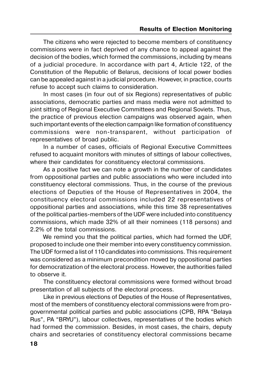The citizens who were rejected to become members of constituency commissions were in fact deprived of any chance to appeal against the decision of the bodies, which formed the commissions, including by means of a judicial procedure. In accordance with part 4, Article 122, of the Constitution of the Republic of Belarus, decisions of local power bodies can be appealed against in a judicial procedure. However, in practice, courts refuse to accept such claims to consideration.

In most cases (in four out of six Regions) representatives of public associations, democratic parties and mass media were not admitted to joint sitting of Regional Executive Committees and Regional Soviets. Thus, the practice of previous election campaigns was observed again, when such important events of the election campaign like formation of constituency commissions were non-transparent, without participation of representatives of broad public.

In a number of cases, officials of Regional Executive Committees refused to acquaint monitors with minutes of sittings of labour collectives, where their candidates for constituency electoral commissions.

As a positive fact we can note a growth in the number of candidates from oppositional parties and public associations who were included into constituency electoral commissions. Thus, in the course of the previous elections of Deputies of the House of Representatives in 2004, the constituency electoral commissions included 22 representatives of oppositional parties and associations, while this time 38 representatives of the political parties-members of the UDF were included into constituency commissions, which made 32% of all their nominees (118 persons) and 2.2% of the total commissions.

We remind you that the political parties, which had formed the UDF, proposed to include one their member into every constituency commission. The UDF formed a list of 110 candidates into commissions. This requirement was considered as a minimum precondition moved by oppositional parties for democratization of the electoral process. However, the authorities failed to observe it.

The constituency electoral commissions were formed without broad presentation of all subjects of the electoral process.

Like in previous elections of Deputies of the House of Representatives, most of the members of constituency electoral commissions were from pro governmental political parties and public associations (CPB, RPA "Belaya Rus", PA "BRYU"), labour collectives, representatives of the bodies which had formed the commission. Besides, in most cases, the chairs, deputy chairs and secretaries of constituency electoral commissions became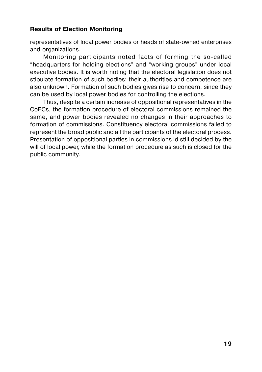representatives of local power bodies or heads of state-owned enterprises and organizations.

Monitoring participants noted facts of forming the so-called "headquarters for holding elections" and "working groups" under local executive bodies. It is worth noting that the electoral legislation does not stipulate formation of such bodies; their authorities and competence are also unknown. Formation of such bodies gives rise to concern, since they can be used by local power bodies for controlling the elections.

Thus, despite a certain increase of oppositional representatives in the CoECs, the formation procedure of electoral commissions remained the same, and power bodies revealed no changes in their approaches to formation of commissions. Constituency electoral commissions failed to represent the broad public and all the participants of the electoral process. Presentation of oppositional parties in commissions id still decided by the will of local power, while the formation procedure as such is closed for the public community.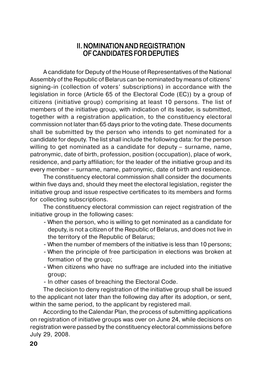## **II. NOMINATION AND REGISTRATION OF CANDIDATES FOR DEPUTIES**

<span id="page-19-0"></span>A candidate for Deputy of the House of Representatives of the National Assembly of the Republic of Belarus can be nominated by means of citizens' signing-in (collection of voters' subscriptions) in accordance with the legislation in force (Article 65 of the Electoral Code (EC)) by a group of citizens (initiative group) comprising at least 10 persons. The list of members of the initiative group, with indication of its leader, is submitted, together with a registration application, to the constituency electoral commission not later than 65 days prior to the voting date. These documents shall be submitted by the person who intends to get nominated for a candidate for deputy. The list shall include the following data: for the person willing to get nominated as a candidate for deputy – surname, name, patronymic, date of birth, profession, position (occupation), place of work, residence, and party affiliation; for the leader of the initiative group and its every member – surname, name, patronymic, date of birth and residence.

The constituency electoral commission shall consider the documents within five days and, should they meet the electoral legislation, register the initiative group and issue respective certificates to its members and forms for collecting subscriptions.

The constituency electoral commission can reject registration of the initiative group in the following cases:

- When the person, who is willing to get nominated as a candidate for deputy, is not a citizen of the Republic of Belarus, and does not live in the territory of the Republic of Belarus;
- When the number of members of the initiative is less than 10 persons;
- When the principle of free participation in elections was broken at formation of the group;
- When citizens who have no suffrage are included into the initiative group;
- In other cases of breaching the Electoral Code.

The decision to deny registration of the initiative group shall be issued to the applicant not later than the following day after its adoption, or sent, within the same period, to the applicant by registered mail.

According to the Calendar Plan, the process of submitting applications on registration of initiative groups was over on June 24, while decisions on registration were passed by the constituency electoral commissions before July 29, 2008.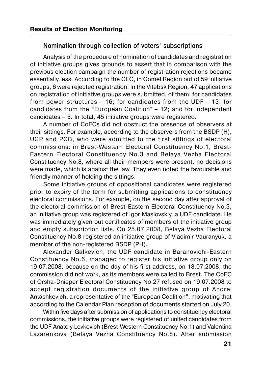## <span id="page-20-0"></span>**Nomination through collection of voters' subscriptions**

Analysis of the procedure of nomination of candidates and registration of initiative groups gives grounds to assert that in comparison with the previous election campaign the number of registration rejections became essentially less. According to the CEC, in Gomel Region out of 59 initiative groups, 6 were rejected registration. In the Vitebsk Region, 47 applications on registration of initiative groups were submitted, of them: for candidates from power structures – 16; for candidates from the UDF – 13; for candidates from the "European Coalition" – 12; and for independent candidates – 5. In total, 45 initiative groups were registered.

A number of CoECs did not obstruct the presence of observers at their sittings. For example, according to the observers from the BSDP (H), UCP and PCB, who were admitted to the first sittings of electoral commissions: in Brest-Western Electoral Constituency No.1, Brest-Eastern Electoral Constituency No.3 and Belaya Vezha Electoral Constituency No.8, where all their members were present, no decisions were made, which is against the law. They even noted the favourable and friendly manner of holding the sittings.

Some initiative groups of oppositional candidates were registered prior to expiry of the term for submitting applications to constituency electoral commissions. For example, on the second day after approval of the electoral commission of Brest-Eastern Electoral Constituency No.3, an initiative group was registered of Igor Maslovskiy, a UDF candidate. He was immediately given out certificates of members of the initiative group and empty subscription lists. On 25.07.2008, Belaya Vezha Electoral Constituency No.8 registered an initiative group of Vladimir Vauranyuk, a member of the non-registered BSDP (PH).

Alexander Galkevich, the UDF candidate in Baranovichi-Eastern Constituency No.6, managed to register his initiative group only on 19.07.2008, because on the day of his first address, on 18.07.2008, the commission did not work, as its members were called to Brest. The CoEC of Orsha-Dnieper Electoral Constituency No.27 refused on 19.07.2008 to accept registration documents of the initiative group of Andrei Antashkevich, a representative of the "European Coalition", motivating that according to the Calendar Plan reception of documents started on July 20.

Within five days after submission of applications to constituency electoral commissions, the initiative groups were registered of united candidates from the UDF Anatoly Levkovich (Brest-Western Constituency No.1) and Valentina Lazarenkova (Belaya Vezha Constituency No.8). After submission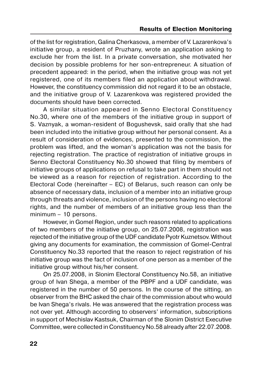of the list for registration, Galina Cherkasova, a member of V. Lazarenkova's initiative group, a resident of Pruzhany, wrote an application asking to exclude her from the list. In a private conversation, she motivated her decision by possible problems for her son-entrepreneur. A situation of precedent appeared: in the period, when the initiative group was not yet registered, one of its members filed an application about withdrawal. However, the constituency commission did not regard it to be an obstacle, and the initiative group of V. Lazarenkova was registered provided the documents should have been corrected.

A similar situation appeared in Senno Electoral Constituency No.30, where one of the members of the initiative group in support of S. Vaznyak, a woman-resident of Bogushevsk, said orally that she had been included into the initiative group without her personal consent. As a result of consideration of evidences, presented to the commission, the problem was lifted, and the woman's application was not the basis for rejecting registration. The practice of registration of initiative groups in Senno Electoral Constituency No.30 showed that filing by members of initiative groups of applications on refusal to take part in them should not be viewed as a reason for rejection of registration. According to the Electoral Code (hereinafter – EC) of Belarus, such reason can only be absence of necessary data, inclusion of a member into an initiative group through threats and violence, inclusion of the persons having no electoral rights, and the number of members of an initiative group less than the minimum – 10 persons.

However, in Gomel Region, under such reasons related to applications of two members of the initiative group, on 25.07.2008, registration was rejected of the initiative group of the UDF candidate Pyotr Kuznetsov. Without giving any documents for examination, the commission of Gomel-Central Constituency No.33 reported that the reason to reject registration of his initiative group was the fact of inclusion of one person as a member of the initiative group without his/her consent.

On 25.07.2008, in Slonim Electoral Constituency No.58, an initiative group of Ivan Shega, a member of the PBPF and a UDF candidate, was registered in the number of 50 persons. In the course of the sitting, an observer from the BHC asked the chair of the commission about who would be Ivan Shega's rivals. He was answered that the registration process was not over yet. Although according to observers' information, subscriptions in support of Mechislav Kastsuk, Chairman of the Slonim District Executive Committee, were collected in Constituency No.58 already after 22.07.2008.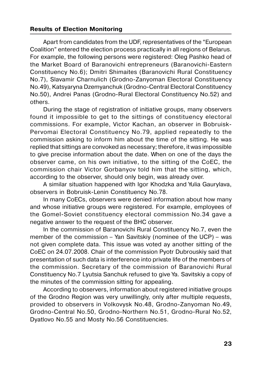Apart from candidates from the UDF, representatives of the "European Coalition" entered the election process practically in all regions of Belarus. For example, the following persons were registered: Oleg Pashko head of the Market Board of Baranovichi entrepreneurs (Baranovichi-Eastern Constituency No.6); Dmitri Shimaites (Baranovichi Rural Constituency No.7), Slavamir Charnulich (Grodno-Zanyoman Electoral Constituency No.49), Katsyaryna Dzemyanchuk (Grodno-Central Electoral Constituency No.50), Andrei Panas (Grodno-Rural Electoral Constituency No.52) and others.

During the stage of registration of initiative groups, many observers found it impossible to get to the sittings of constituency electoral commissions. For example, Victor Kachan, an observer in Bobruisk- Pervomai Electoral Constituency No.79, applied repeatedly to the commission asking to inform him about the time of the sitting. He was replied that sittings are convoked as necessary; therefore, it was impossible to give precise information about the date. When on one of the days the observer came, on his own initiative, to the sitting of the CoEC, the commission chair Victor Gorbanyov told him that the sitting, which, according to the observer, should only begin, was already over.

A similar situation happened with Igor Khodzka and Yulia Gaurylava, observers in Bobruisk-Lenin Constituency No.78.

In many CoECs, observers were denied information about how many and whose initiative groups were registered. For example, employees of the Gomel-Soviet constituency electoral commission No.34 gave a negative answer to the request of the BHC observer.

In the commission of Baranovichi Rural Constituency No.7, even the member of the commission – Yan Savitskiy (nominee of the UCP) – was not given complete data. This issue was voted ay another sitting of the CoEC on 24.07.2008. Chair of the commission Pyotr Dubrouskiy said that presentation of such data is interference into private life of the members of the commission. Secretary of the commission of Baranovichi Rural Constituency No.7 Lyutsia Sanchuk refused to give Ya. Savitskiy a copy of the minutes of the commission sitting for appealing.

According to observers, information about registered initiative groups of the Grodno Region was very unwillingly, only after multiple requests, provided to observers in Volkovysk No.48, Grodno-Zanyoman No.49, Grodno-Central No.50, Grodno-Northern No.51, Grodno-Rural No.52, Dyatlovo No.55 and Mosty No.56 Constituencies.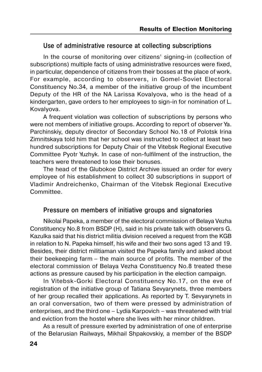## <span id="page-23-0"></span>**Use of administrative resource at collecting subscriptions**

In the course of monitoring over citizens' signing-in (collection of subscriptions) multiple facts of using administrative resources were fixed, in particular, dependence of citizens from their bosses at the place of work. For example, according to observers, in Gomel-Soviet Electoral Constituency No.34, a member of the initiative group of the incumbent Deputy of the HR of the NA Larissa Kovalyova, who is the head of a kindergarten, gave orders to her employees to sign-in for nomination of L. Kovalyova.

A frequent violation was collection of subscriptions by persons who were not members of initiative groups. According to report of observer Ya. Parchinskiy, deputy director of Secondary School No.18 of Polotsk Irina Zimnitskaya told him that her school was instructed to collect at least two hundred subscriptions for Deputy Chair of the Vitebsk Regional Executive Committee Pyotr Yuzhyk. In case of non-fulfilment of the instruction, the teachers were threatened to lose their bonuses.

The head of the Glubokoe District Archive issued an order for every employee of his establishment to collect 30 subscriptions in support of Vladimir Andreichenko, Chairman of the Vitebsk Regional Executive Committee.

## **Pressure on members of initiative groups and signatories**

Nikolai Papeka, a member of the electoral commission of Belaya Vezha Constituency No.8 from BSDP (H), said in his private talk with observers G. Kazulka said that his district militia division received a request from the KGB in relation to N. Papeka himself, his wife and their two sons aged 13 and 19. Besides, their district militiaman visited the Papeka family and asked about their beekeeping farm – the main source of profits. The member of the electoral commission of Belaya Vezha Constituency No.8 treated these actions as pressure caused by his participation in the election campaign.

In Vitebsk-Gorki Electoral Constituency No.17, on the eve of registration of the initiative group of Tatiana Sevyarynets, three members of her group recalled their applications. As reported by Т. Sevyarynets in an oral conversation, two of them were pressed by administration of enterprises, and the third one – Lydia Karpovich – was threatened with trial and eviction from the hostel where she lives with her minor children.

As a result of pressure exerted by administration of one of enterprise of the Belarusian Railways, Mikhail Shpakovskiy, a member of the BSDP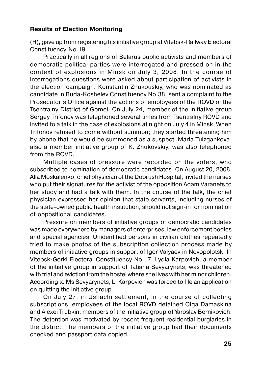(H), gave up from registering his initiative group at Vitebsk-Railway Electoral Constituency No.19.

Practically in all regions of Belarus public activists and members of democratic political parties were interrogated and pressed on in the context of explosions in Minsk on July 3, 2008. In the course of interrogations questions were asked about participation of activists in the election campaign. Konstantin Zhukouskiy, who was nominated as candidate in Buda-Koshelev Constituency No.38, sent a complaint to the Prosecutor's Office against the actions of employees of the ROVD of the Tsentralny District of Gomel. On July 24, member of the initiative group Sergey Trifonov was telephoned several times from Tsentralny ROVD and invited to a talk in the case of explosions at night on July 4 in Minsk. When Trifonov refused to come without summon; they started threatening him by phone that he would be summoned as a suspect. Maria Tulzgankova, also a member initiative group of K. Zhukovskiy, was also telephoned from the ROVD.

Multiple cases of pressure were recorded on the voters, who subscribed to nomination of democratic candidates. On August 20, 2008, Alla Moskalenko, chief physician of the Dobrush Hospital, invited the nurses who put their signatures for the activist of the opposition Adam Varanets to her study and had a talk with them. In the course of the talk, the chief physician expressed her opinion that state servants, including nurses of the state-owned public health institution, should not sign-in for nomination of oppositional candidates.

Pressure on members of initiative groups of democratic candidates was made everywhere by managers of enterprises, law enforcement bodies and special agencies. Unidentified persons in civilian clothes repeatedly tried to make photos of the subscription collection process made by members of initiative groups in support of Igor Valyaev in Novopolotsk. In Vitebsk-Gorki Electoral Constituency No.17, Lydia Karpovich, a member of the initiative group in support of Tatiana Sevyarynets, was threatened with trial and eviction from the hostel where she lives with her minor children. According to Ms Sevyarynets, L. Karpovich was forced to file an application on quitting the initiative group.

On July 27, in Ushachi settlement, in the course of collecting subscriptions, employees of the local ROVD detained Olga Damaskina and Alexei Trubkin, members of the initiative group of Yaroslav Bernikovich. The detention was motivated by recent frequent residential burglaries in the district. The members of the initiative group had their documents checked and passport data copied.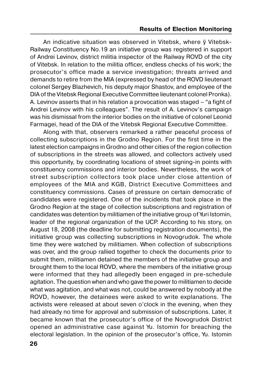An indicative situation was observed in Vitebsk, where ў Vitebsk- Railway Constituency No.19 an initiative group was registered in support of Andrei Levinov, district militia inspector of the Railway ROVD of the city of Vitebsk. In relation to the militia officer, endless checks of his work; the prosecutor's office made a service investigation; threats arrived and demands to retire from the MIA (expressed by head of the ROVD lieutenant colonel Sergey Blazhevich, his deputy major Shastov, and employee of the DIA of the Vitebsk Regional Executive Committee lieutenant colonel Pronka). А. Levinov asserts that in his relation a provocation was staged – "a fight of Andrei Levinov with his colleagues". The result of А. Levinov's campaign was his dismissal from the interior bodies on the initiative of colonel Leonid Farmagei, head of the DIA of the Vitebsk Regional Executive Committee.

Along with that, observers remarked a rather peaceful process of collecting subscriptions in the Grodno Region. For the first time in the latest election campaigns in Grodno and other cities of the region collection of subscriptions in the streets was allowed, and collectors actively used this opportunity, by coordinating locations of street signing-in points with constituency commissions and interior bodies. Nevertheless, the work of street subscription collectors took place under close attention of employees of the MIA and KGB, District Executive Committees and constituency commissions. Cases of pressure on certain democratic of candidates were registered. One of the incidents that took place in the Grodno Region at the stage of collection subscriptions and registration of candidates was detention by militiamen of the initiative group of Yuri Іstomin, leader of the regional organization of the UCP. According to his story, on August 18, 2008 (the deadline for submitting registration documents), the initiative group was collecting subscriptions in Novogrudok. The whole time they were watched by militiamen. When collection of subscriptions was over, and the group rallied together to check the documents prior to submit them, militiamen detained the members of the initiative group and brought them to the local ROVD, where the members of the initiative group were informed that they had allegedly been engaged in pre-schedule agitation. The question when and who gave the power to militiamen to decide what was agitation, and what was not, could be answered by nobody at the ROVD, however, the detainees were asked to write explanations. The activists were released at about seven o'clock in the evening, when they had already no time for approval and submission of subscriptions. Later, it became known that the prosecutor's office of the Novogrudok District opened an administrative case against Yu. Istomin for breaching the electoral legislation. In the opinion of the prosecutor's office, Yu. Istomin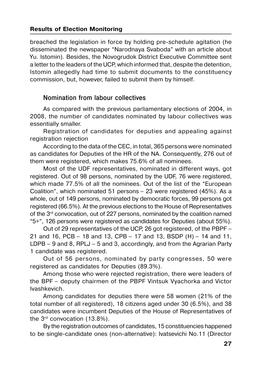<span id="page-26-0"></span>breached the legislation in force by holding pre-schedule agitation (he disseminated the newspaper "Narodnaya Svaboda" with an article about Yu. Istomin). Besides, the Novogrudok District Executive Committee sent a letter to the leaders of the UCP, which informed that, despite the detention, Istomin allegedly had time to submit documents to the constituency commission, but, however, failed to submit them by himself.

## **Nomination from labour collectives**

As compared with the previous parliamentary elections of 2004, in 2008, the number of candidates nominated by labour collectives was essentially smaller.

Registration of candidates for deputies and appealing against registration rejection

According to the data of the CEC, in total, 365 persons were nominated as candidates for Deputies of the HR of the NA. Consequently, 276 out of them were registered, which makes 75.6% of all nominees.

Most of the UDF representatives, nominated in different ways, got registered. Out of 98 persons, nominated by the UDF, 76 were registered, which made 77.5% of all the nominees. Out of the list of the "European" Coalition", which nominated 51 persons – 23 were registered (45%). As a whole, out of 149 persons, nominated by democratic forces, 99 persons got registered (66.5%). At the previous elections to the House of Representatives of the 3rd convocation, out of 227 persons, nominated by the coalition named "5+", 126 persons were registered as candidates for Deputies (about 55%).

Out of 29 representatives of the UCP, 26 got registered, of the PBPF – 21 and 16, PCB – 18 and 13, CPB – 17 and 13, BSDP (H) – 14 and 11, LDPB – 9 and 8, RPLJ – 5 and 3, accordingly, and from the Agrarian Party 1 candidate was registered.

Out of 56 persons, nominated by party congresses, 50 were registered as candidates for Deputies (89.3%).

Among those who were rejected registration, there were leaders of the BPF – deputy chairmen of the PBPF Vintsuk Vyachorka and Victor Ivashkevich.

Among candidates for deputies there were 58 women (21% of the total number of all registered), 18 citizens aged under 30 (6.5%), and 38 candidates were incumbent Deputies of the House of Representatives of the 3rd convocation (13.8%).

By the registration outcomes of candidates, 15 constituencies happened to be single-candidate ones (non-alternative): Ivatsevichi No.11 (Director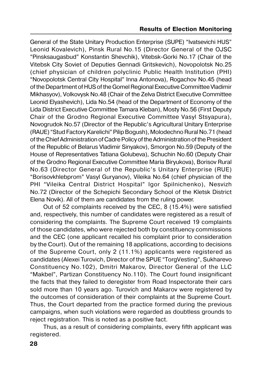General of the State Unitary Production Enterprise (SUPE) "Ivatsevichi HUS" Leonid Kovalevich), Pinsk Rural No.15 (Director General of the OJSC "Pinsksaugasbud" Konstantin Shevchik), Vitebsk-Gorki No.17 (Chair of the Vitebsk City Soviet of Deputies Gennadi Gritskevich), Novopolotsk No.25 (chief physician of children polyclinic Public Health Institution (PHI) "Novopolotsk Central City Hospital" Inna Antonova), Rogachov No.45 (head of the Department of HUS of the Gomel Regional Executive Committee Vladimir Mikhasyov), Volkovysk No.48 (Chair of the Zelva District Executive Committee Leonid Elyashevich), Lida No.54 (head of the Department of Economy of the Lida District Executive Committee Tamara Kleban), Mosty No.56 (First Deputy Chair of the Grodno Regional Executive Committee Vasyl Stsyapura), Novogrudok No.57 (Director of the Republic's Agricultural Unitary Enterprise (RAUE) "Stud Factory Karelichi" Pilip Bogush), Molodechno Rural No.71 (head of the Chief Administration of Cadre Policy of the Administration of the President of the Republic of Belarus Vladimir Sinyakov), Smorgon No.59 (Deputy of the House of Representatives Tatiana Golubeva), Schuchin No.60 (Deputy Chair of the Grodno Regional Executive Committee Maria Biryukova), Borisov Rural No.63 (Director General of the Republic's Unitary Enterprise (RUE) "Borisovkhlebprom" Vasyl Guryanov), Vileika No.64 (chief physician of the PHI "Vileika Central District Hospital" Igor Spilnichenko), Nesvizh No.72 (Director of the Schepichi Secondary School of the Kletsk District Elena Novik). All of them are candidates from the ruling power.

Out of 52 complaints received by the CEC, 8 (15.4%) were satisfied and, respectively, this number of candidates were registered as a result of considering the complaints. The Supreme Court received 19 complaints of those candidates, who were rejected both by constituency commissions and the CEC (one applicant recalled his complaint prior to consideration by the Court). Out of the remaining 18 applications, according to decisions of the Supreme Court, only 2 (11.1%) applicants were registered as candidates (Alexei Turovich, Director of the SPUE "TorgVesting", Sukharevo Constituency No.102), Dmitri Makarov, Director General of the LLC "Makbel", Partizan Constituency No.110). The Court found insignificant the facts that they failed to deregister from Road Inspectorate their cars sold more than 10 years ago. Turovich and Makarov were registered by the outcomes of consideration of their complaints at the Supreme Court. Thus, the Court departed from the practice formed during the previous campaigns, when such violations were regarded as doubtless grounds to reject registration. This is noted as a positive fact.

Thus, as a result of considering complaints, every fifth applicant was registered.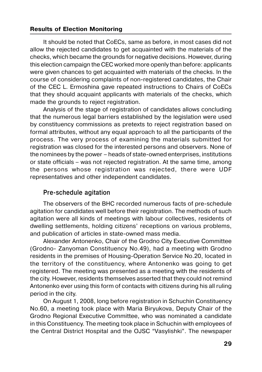<span id="page-28-0"></span>It should be noted that CoECs, same as before, in most cases did not allow the rejected candidates to get acquainted with the materials of the checks, which became the grounds for negative decisions. However, during this election campaign the CEC worked more openly than before: applicants were given chances to get acquainted with materials of the checks. In the course of considering complaints of non-registered candidates, the Chair of the CEC L. Ermoshina gave repeated instructions to Chairs of CoECs that they should acquaint applicants with materials of the checks, which made the grounds to reject registration.

Analysis of the stage of registration of candidates allows concluding that the numerous legal barriers established by the legislation were used by constituency commissions as pretexts to reject registration based on formal attributes, without any equal approach to all the participants of the process. The very process of examining the materials submitted for registration was closed for the interested persons and observers. None of the nominees by the power – heads of state-owned enterprises, institutions or state officials – was not rejected registration. At the same time, among the persons whose registration was rejected, there were UDF representatives and other independent candidates.

## **Preschedule agitation**

The observers of the BHC recorded numerous facts of pre-schedule agitation for candidates well before their registration. The methods of such agitation were all kinds of meetings with labour collectives, residents of dwelling settlements, holding citizens' receptions on various problems, and publication of articles in state-owned mass media.

Alexander Antonenko, Chair of the Grodno City Executive Committee (Grodno- Zanyoman Constituency No.49), had a meeting with Grodno residents in the premises of Housing-Operation Service No.20, located in the territory of the constituency, where Antonenko was going to get registered. The meeting was presented as a meeting with the residents of the city. However, residents themselves asserted that they could not remind Antonenko ever using this form of contacts with citizens during his all ruling period in the city.

On August 1, 2008, long before registration in Schuchin Constituency No.60, a meeting took place with Maria Biryukova, Deputy Chair of the Grodno Regional Executive Committee, who was nominated a candidate in this Constituency. The meeting took place in Schuchin with employees of the Central District Hospital and the OJSC "Vasylishki". The newspaper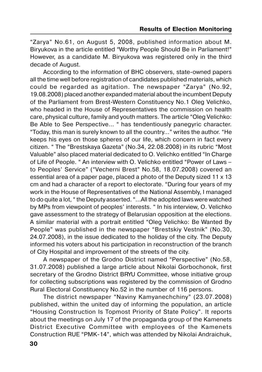"Zarya" No.61, on August 5, 2008, published information about M. Biryukova in the article entitled "Worthy People Should Be in Parliament!" However, as a candidate M. Biryukova was registered only in the third decade of August.

According to the information of BHC observers, state-owned papers all the time well before registration of candidates published materials, which could be regarded as agitation. The newspaper "Zarya" (No.92, 19.08.2008) placed another expanded material about the incumbent Deputy of the Parliament from Brest-Western Constituency No.1 Oleg Velichko, who headed in the House of Representatives the commission on health care, physical culture, family and youth matters. The article "Oleg Velichko: Be Able to See Perspective… " has tendentiously panegyric character. "Today, this man is surely known to all the country…" writes the author. "He keeps his eyes on those spheres of our life, which concern in fact every citizen. " The "Brestskaya Gazeta" (No.34, 22.08.2008) in its rubric "Most Valuable" also placed material dedicated to O. Velichko entitled "In Charge of Life of People. " An interview with O. Velichko entitled "Power of Laws – to Peoples' Service" ("Vecherni Brest" No.58, 18.07.2008) covered an essential area of a paper page, placed a photo of the Deputy sized 11 х 13 cm and had a character of a report to electorate. "During four years of my work in the House of Representatives of the National Assembly, I managed to do quite a lot, " the Deputy asserted. "…All the adopted laws were watched by MPs from viewpoint of peoples' interests. " In his interview, O. Velichko gave assessment to the strategy of Belarusian opposition at the elections. A similar material with a portrait entitled "Oleg Velichko: Be Wanted By People" was published in the newspaper "Brestskiy Vestnik" (No.30, 24.07.2008), in the issue dedicated to the holiday of the city. The Deputy informed his voters about his participation in reconstruction of the branch of City Hospital and improvement of the streets of the city.

A newspaper of the Grodno District named "Perspective" (No.58, 31.07.2008) published a large article about Nikolai Gorbochonok, first secretary of the Grodno District BRYU Committee, whose initiative group for collecting subscriptions was registered by the commission of Grodno Rural Electoral Constituency No.52 in the number of 116 persons.

The district newspaper "Naviny Kamyanechchiny" (23.07.2008) published, within the united day of informing the population, an article "Housing Construction Is Topmost Priority of State Policy". It reports about the meetings on July 17 of the propaganda group of the Kamenets District Executive Committee with employees of the Kamenets Construction RUE "PMK-14", which was attended by Nikolai Andraichuk,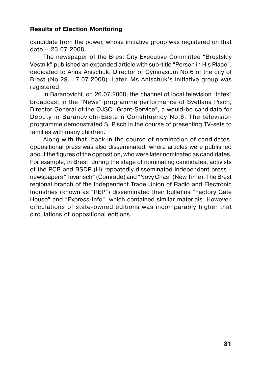candidate from the power, whose initiative group was registered on that date – 23.07.2008.

The newspaper of the Brest City Executive Committee "Brestskiy Vestnik" published an expanded article with sub-title "Person in His Place", dedicated to Anna Anischuk, Director of Gymnasium No.6 of the city of Brest (No.29, 17.07.2008). Later, Ms Anischuk's initiative group was registered.

In Baranovichi, on 26.07.2008, the channel of local television "Intex" broadcast in the "News" programme performance of Svetlana Pisch, Director General of the OJSC "Grant-Service", a would-be candidate for Deputy in Baranovichi-Eastern Constituency No.6. The television programme demonstrated S. Pisch in the course of presenting TV-sets to families with many children.

Along with that, back in the course of nomination of candidates, oppositional press was also disseminated, where articles were published about the figures of the opposition, who were later nominated as candidates. For example, in Brest, during the stage of nominating candidates, activists of the PCB and BSDP (H) repeatedly disseminated independent press – newspapers "Tovarisch" (Comrade) and "Novy Chas" (New Time). The Brest regional branch of the Independent Trade Union of Radio and Electronic Industries (known as "REP") disseminated their bulletins "Factory Gate House" and "Express-Info", which contained similar materials. However, circulations of state-owned editions was incomparably higher that circulations of oppositional editions.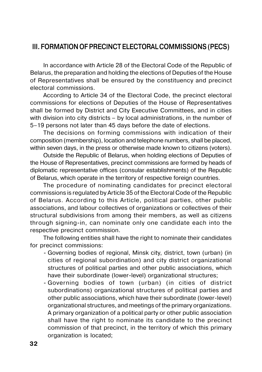## <span id="page-31-0"></span>**ІІІ. FORMATION OF PRECINCT ELECTORAL COMMISSIONS (PECS)**

In accordance with Article 28 of the Electoral Code of the Republic of Belarus, the preparation and holding the elections of Deputies of the House of Representatives shall be ensured by the constituency and precinct electoral commissions.

According to Article 34 of the Electoral Code, the precinct electoral commissions for elections of Deputies of the House of Representatives shall be formed by District and City Executive Committees, and in cities with division into city districts – by local administrations, in the number of 5–19 persons not later than 45 days before the date of elections.

The decisions on forming commissions with indication of their composition (membership), location and telephone numbers, shall be placed, within seven days, in the press or otherwise made known to citizens (voters).

Outside the Republic of Belarus, when holding elections of Deputies of the House of Representatives, precinct commissions are formed by heads of diplomatic representative offices (consular establishments) of the Republic of Belarus, which operate in the territory of respective foreign countries.

The procedure of nominating candidates for precinct electoral commissions is regulated by Article 35 of the Electoral Code of the Republic of Belarus. According to this Article, political parties, other public associations, and labour collectives of organizations or collectives of their structural subdivisions from among their members, as well as citizens through signing-in, can nominate only one candidate each into the respective precinct commission.

The following entities shall have the right to nominate their candidates for precinct commissions:

- Governing bodies of regional, Minsk city, district, town (urban) (in cities of regional subordination) and city district organizational structures of political parties and other public associations, which have their subordinate (lower-level) organizational structures;
- Governing bodies of town (urban) (in cities of district subordinations) organizational structures of political parties and other public associations, which have their subordinate (lower-level) organizational structures, and meetings of the primary organizations. A primary organization of a political party or other public association shall have the right to nominate its candidate to the precinct commission of that precinct, in the territory of which this primary organization is located;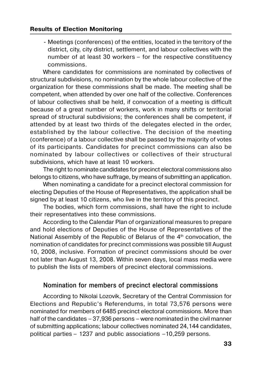<span id="page-32-0"></span>- Meetings (conferences) of the entities, located in the territory of the district, city, city district, settlement, and labour collectives with the number of at least 30 workers – for the respective constituency commissions.

Where candidates for commissions are nominated by collectives of structural subdivisions, no nomination by the whole labour collective of the organization for these commissions shall be made. The meeting shall be competent, when attended by over one half of the collective. Conferences of labour collectives shall be held, if convocation of a meeting is difficult because of a great number of workers, work in many shifts or territorial spread of structural subdivisions; the conferences shall be competent, if attended by at least two thirds of the delegates elected in the order, established by the labour collective. The decision of the meeting (conference) of a labour collective shall be passed by the majority of votes of its participants. Candidates for precinct commissions can also be nominated by labour collectives or collectives of their structural subdivisions, which have at least 10 workers.

The right to nominate candidates for precinct electoral commissions also belongs to citizens, who have suffrage, by means of submitting an application.

When nominating a candidate for a precinct electoral commission for electing Deputies of the House of Representatives, the application shall be signed by at least 10 citizens, who live in the territory of this precinct.

The bodies, which form commissions, shall have the right to include their representatives into these commissions.

According to the Calendar Plan of organizational measures to prepare and hold elections of Deputies of the House of Representatives of the National Assembly of the Republic of Belarus of the  $4<sup>th</sup>$  convocation, the nomination of candidates for precinct commissions was possible till August 10, 2008, inclusive. Formation of precinct commissions should be over not later than August 13, 2008. Within seven days, local mass media were to publish the lists of members of precinct electoral commissions.

## **Nomination for members of precinct electoral commissions**

According to Nikolai Lozovik, Secretary of the Central Commission for Elections and Republic's Referendums, in total 73,576 persons were nominated for members of 6485 precinct electoral commissions. More than half of the candidates – 37,936 persons – were nominated in the civil manner of submitting applications; labour collectives nominated 24,144 candidates, political parties – 1237 and public associations –10,259 persons.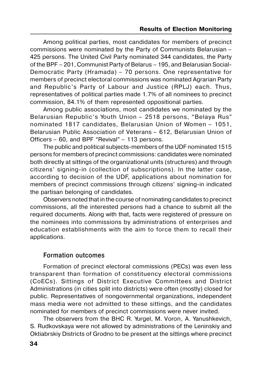<span id="page-33-0"></span>Among political parties, most candidates for members of precinct commissions were nominated by the Party of Communists Belarusian – 425 persons. The United Civil Party nominated 344 candidates, the Party of the BPF – 201, Communist Party of Belarus – 195, and Belarusian Social- Democratic Party (Hramada) – 70 persons. One representative for members of precinct electoral commissions was nominated Agrarian Party and Republic's Party of Labour and Justice (RPLJ) each. Thus, representatives of political parties made 1.7% of all nominees to precinct commission, 84.1% of them represented oppositional parties.

Among public associations, most candidates we nominated by the Belarusian Republic's Youth Union – 2518 persons, "Belaya Rus" nominated 1817 candidates, Belarusian Union of Women – 1051, Belarusian Public Association of Veterans – 612, Belarusian Union of Officers – 60, and BPF "Revival" – 113 persons.

The public and political subjects-members of the UDF nominated 1515 persons for members of precinct commissions: candidates were nominated both directly at sittings of the organizational units (structures) and through citizens' signing-in (collection of subscriptions). In the latter case, according to decision of the UDF, applications about nomination for members of precinct commissions through citizens' signing-in indicated the partisan belonging of candidates.

Observers noted that in the course of nominating candidates to precinct commissions, all the interested persons had a chance to submit all the required documents. Along with that, facts were registered of pressure on the nominees into commissions by administrations of enterprises and education establishments with the aim to force them to recall their applications.

## **Formation outcomes**

Formation of precinct electoral commissions (PECs) was even less transparent than formation of constituency electoral commissions (CoECs). Sittings of District Executive Committees and District Administrations (in cities split into districts) were often (mostly) closed for public. Representatives of nongovernmental organizations, independent mass media were not admitted to these sittings, and the candidates nominated for members of precinct commissions were never invited.

The observers from the BHC R. Yurgel, M. Voron, A. Yanushkevich, S. Rudkovskaya were not allowed by administrations of the Leninskiy and Oktiabrskiy Districts of Grodno to be present at the sittings where precinct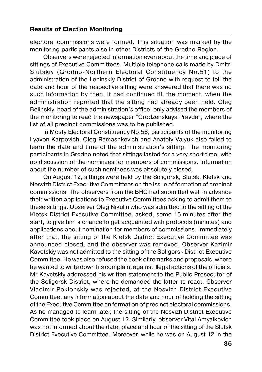electoral commissions were formed. This situation was marked by the monitoring participants also in other Districts of the Grodno Region.

Observers were rejected information even about the time and place of sittings of Executive Committees. Multiple telephone calls made by Dmitri Slutskiy (Grodno-Northern Electoral Constituency No.51) to the administration of the Leninskiy District of Grodno with request to tell the date and hour of the respective sitting were answered that there was no such information by then. It had continued till the moment, when the administration reported that the sitting had already been held. Oleg Belinskiy, head of the administration's office, only advised the members of the monitoring to read the newspaper "Grodzenskaya Pravda", where the list of all precinct commissions was to be published.

In Mosty Electoral Constituency No.56, participants of the monitoring Lyavon Karpovich, Oleg Ramashkevich and Anatoly Valyuk also failed to learn the date and time of the administration's sitting. The monitoring participants in Grodno noted that sittings lasted for a very short time, with no discussion of the nominees for members of commissions. Information about the number of such nominees was absolutely closed.

On August 12, sittings were held by the Soligorsk, Slutsk, Kletsk and Nesvizh District Executive Committees on the issue of formation of precinct commissions. The observers from the BHC had submitted well in advance their written applications to Executive Committees asking to admit them to these sittings. Observer Oleg Nikulin who was admitted to the sitting of the Kletsk District Executive Committee, asked, some 15 minutes after the start, to give him a chance to get acquainted with protocols (minutes) and applications about nomination for members of commissions. Immediately after that, the sitting of the Kletsk District Executive Committee was announced closed, and the observer was removed. Observer Kazimir Kavetskiy was not admitted to the sitting of the Soligorsk District Executive Committee. He was also refused the book of remarks and proposals, where he wanted to write down his complaint against illegal actions of the officials. Mr Kavetskiy addressed his written statement to the Public Prosecutor of the Soligorsk District, where he demanded the latter to react. Observer Vladimir Poklonskiy was rejected, at the Nesvizh District Executive Committee, any information about the date and hour of holding the sitting of the Executive Committee on formation of precinct electoral commissions. As he managed to learn later, the sitting of the Nesvizh District Executive Committee took place on August 12. Similarly, observer Vital Amyalkovich was not informed about the date, place and hour of the sitting of the Slutsk District Executive Committee. Moreover, while he was on August 12 in the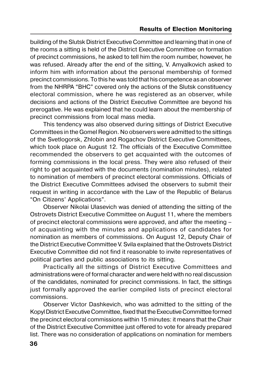building of the Slutsk District Executive Committee and learning that in one of the rooms a sitting is held of the District Executive Committee on formation of precinct commissions, he asked to tell him the room number, however, he was refused. Already after the end of the sitting, V. Amyalkovich asked to inform him with information about the personal membership of formed precinct commissions. To this he was told that his competence as an observer from the NHRPA "BHC" covered only the actions of the Slutsk constituency electoral commission, where he was registered as an observer, while decisions and actions of the District Executive Committee are beyond his prerogative. He was explained that he could learn about the membership of precinct commissions from local mass media.

This tendency was also observed during sittings of District Executive Committees in the Gomel Region. No observers were admitted to the sittings of the Svetlogorsk, Zhlobin and Rogachov District Executive Committees, which took place on August 12. The officials of the Executive Committee recommended the observers to get acquainted with the outcomes of forming commissions in the local press. They were also refused of their right to get acquainted with the documents (nomination minutes), related to nomination of members of precinct electoral commissions. Officials of the District Executive Committees advised the observers to submit their request in writing in accordance with the Law of the Republic of Belarus "On Citizens' Applications".

Observer Nikolai Ulasevich was denied of attending the sitting of the Ostrovets District Executive Committee on August 11, where the members of precinct electoral commissions were approved, and after the meeting – of acquainting with the minutes and applications of candidates for nomination as members of commissions. On August 12, Deputy Chair of the District Executive Committee V. Svila explained that the Ostrovets District Executive Committee did not find it reasonable to invite representatives of political parties and public associations to its sitting.

Practically all the sittings of District Executive Committees and administrations were of formal character and were held with no real discussion of the candidates, nominated for precinct commissions. In fact, the sittings just formally approved the earlier compiled lists of precinct electoral commissions.

Observer Victor Dashkevich, who was admitted to the sitting of the Kopyl District Executive Committee, fixed that the Executive Committee formed the precinct electoral commissions within 15 minutes: it means that the Chair of the District Executive Committee just offered to vote for already prepared list. There was no consideration of applications on nomination for members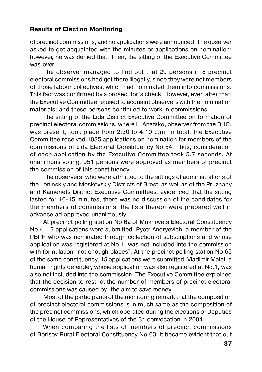of precinct commissions, and no applications were announced. The observer asked to get acquainted with the minutes or applications on nomination; however, he was denied that. Then, the sitting of the Executive Committee was over.

The observer managed to find out that 29 persons in 8 precinct electoral commissions had got there illegally, since they were not members of those labour collectives, which had nominated them into commissions. This fact was confirmed by a prosecutor's check. However, even after that, the Executive Committee refused to acquaint observers with the nomination materials; and these persons continued to work in commissions.

The sitting of the Lida District Executive Committee on formation of precinct electoral commissions, where L. Anatsko, observer from the BHC, was present, took place from 2:30 to 4:10 p.m. In total, the Executive Committee received 1035 applications on nomination for members of the commissions of Lida Electoral Constituency No.54. Thus, consideration of each application by the Executive Committee took 5.7 seconds. At unanimous voting, 951 persons were approved as members of precinct the commission of this constituency.

The observers, who were admitted to the sittings of administrations of the Leninskiy and Moskovskiy Districts of Brest, as well as of the Pruzhany and Kamenets District Executive Committees, evidenced that the sitting lasted for 10-15 minutes, there was no discussion of the candidates for the members of commissions, the lists thereof were prepared well in advance ad approved unanimously.

At precinct polling station No.62 of Mukhovets Electoral Constituency No.4, 13 applications were submitted. Pyotr Andryevich, a member of the PBPF, who was nominated through collection of subscriptions and whose application was registered at No.1, was not included into the commission with formulation "not enough places". At the precinct polling station No.65 of the same constituency, 15 applications were submitted. Vladimir Malei, a human rights defender, whose application was also registered at No.1, was also not included into the commission. The Executive Committee explained that the decision to restrict the number of members of precinct electoral commissions was caused by "the aim to save money".

Most of the participants of the monitoring remark that the composition of precinct electoral commissions is in much same as the composition of the precinct commissions, which operated during the elections of Deputies of the House of Representatives of the 3rd convocation in 2004.

When comparing the lists of members of precinct commissions of Borisov Rural Electoral Constituency No.63, it became evident that out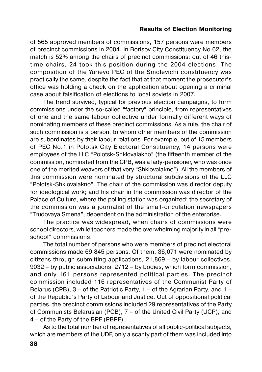of 565 approved members of commissions, 157 persons were members of precinct commissions in 2004. In Borisov City Constituency No.62, the match is 52% among the chairs of precinct commissions: out of 46 this time chairs, 24 took this position during the 2004 elections. The composition of the Yurievo PEC of the Smolevichi constituency was practically the same, despite the fact that at that moment the prosecutor's office was holding a check on the application about opening a criminal case about falsification of elections to local soviets in 2007.

The trend survived, typical for previous election campaigns, to form commissions under the so-called "factory" principle, from representatives of one and the same labour collective under formally different ways of nominating members of these precinct commissions. As a rule, the chair of such commission is a person, to whom other members of the commission are subordinates by their labour relations. For example, out of 15 members of PEC No.1 in Polotsk City Electoral Constituency, 14 persons were employees of the LLC "Polotsk-Shklovalakno" (the fifteenth member of the commission, nominated from the CPB, was a lady-pensioner, who was once one of the merited weavers of that very "Shklovalakno"). All the members of this commission were nominated by structural subdivisions of the LLC "Polotsk-Shklovalakno". The chair of the commission was director deputy for ideological work; and his chair in the commission was director of the Palace of Culture, where the polling station was organized; the secretary of the commission was a journalist of the small-circulation newspapers "Trudovaya Smena", dependent on the administration of the enterprise.

The practice was widespread, when chairs of commissions were school directors, while teachers made the overwhelming majority in all "pre school" commissions.

The total number of persons who were members of precinct electoral commissions made 69,845 persons. Of them, 36,071 were nominated by citizens through submitting applications, 21,869 – by labour collectives, 9032 – by public associations, 2712 – by bodies, which form commission, and only 161 persons represented political parties. The precinct commission included 116 representatives of the Communist Party of Belarus (CPB),  $3 -$  of the Patriotic Party,  $1 -$  of the Agrarian Party, and  $1$ of the Republic's Party of Labour and Justice. Out of oppositional political parties, the precinct commissions included 29 representatives of the Party of Communists Belarusian (PCB), 7 – of the United Civil Party (UCP), and 4 – of the Party of the BPF (PBPF).

As to the total number of representatives of all public-political subjects, which are members of the UDF, only a scanty part of them was included into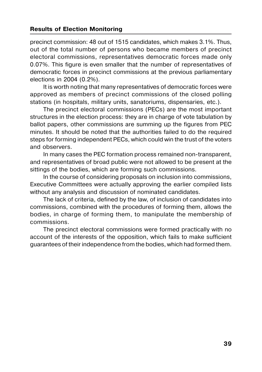precinct commission: 48 out of 1515 candidates, which makes 3.1%. Thus, out of the total number of persons who became members of precinct electoral commissions, representatives democratic forces made only 0.07%. This figure is even smaller that the number of representatives of democratic forces in precinct commissions at the previous parliamentary elections in 2004 (0.2%).

It is worth noting that many representatives of democratic forces were approved as members of precinct commissions of the closed polling stations (in hospitals, military units, sanatoriums, dispensaries, etc.).

The precinct electoral commissions (PECs) are the most important structures in the election process: they are in charge of vote tabulation by ballot papers, other commissions are summing up the figures from PEC minutes. It should be noted that the authorities failed to do the required steps for forming independent PECs, which could win the trust of the voters and observers.

In many cases the PEC formation process remained non-transparent, and representatives of broad public were not allowed to be present at the sittings of the bodies, which are forming such commissions.

In the course of considering proposals on inclusion into commissions, Executive Committees were actually approving the earlier compiled lists without any analysis and discussion of nominated candidates.

The lack of criteria, defined by the law, of inclusion of candidates into commissions, combined with the procedures of forming them, allows the bodies, in charge of forming them, to manipulate the membership of commissions.

The precinct electoral commissions were formed practically with no account of the interests of the opposition, which fails to make sufficient guarantees of their independence from the bodies, which had formed them.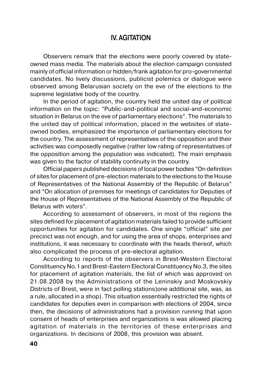## **IV. AGITATION**

Observers remark that the elections were poorly covered by state owned mass media. The materials about the election campaign consisted mainly of official information or hidden/frank agitation for pro-governmental candidates. No lively discussions, publicist polemics or dialogue were observed among Belarusian society on the eve of the elections to the supreme legislative body of the country.

In the period of agitation, the country held the united day of political information on the topic: "Public-and-political and social-and-economic situation in Belarus on the eve of parliamentary elections". The materials to the united day of political information, placed in the websites of state owned bodies, emphasized the importance of parliamentary elections for the country. The assessment of representatives of the opposition and their activities was composedly negative (rather low rating of representatives of the opposition among the population was indicated). The main emphasis was given to the factor of stability continuity in the country.

Official papers published decisions of local power bodies "On definition of sites for placement of pre-election materials to the elections to the House of Representatives of the National Assembly of the Republic of Belarus" and "On allocation of premises for meetings of candidates for Deputies of the House of Representatives of the National Assembly of the Republic of Belarus with voters".

According to assessment of observers, in most of the regions the sites defined for placement of agitation materials failed to provide sufficient opportunities for agitation for candidates. One single "official" site per precinct was not enough, and for using the area of shops, enterprises and institutions, it was necessary to coordinate with the heads thereof, which also complicated the process of pre-electoral agitation.

According to reports of the observers in Brest-Western Electoral Constituency No.1 and Brest-Eastern Electoral Constituency No.3, the sites for placement of agitation materials, the list of which was approved on 21.08.2008 by the Administrations of the Leninskiy and Moskovskiy Districts of Brest, were in fact polling stations)one additional site, was, as a rule, allocated in a shop). This situation essentially restricted the rights of candidates for deputies even in comparison with elections of 2004, since then, the decisions of administrations had a provision running that upon consent of heads of enterprises and organizations is was allowed placing agitation of materials in the territories of these enterprises and organizations. In decisions of 2008, this provision was absent.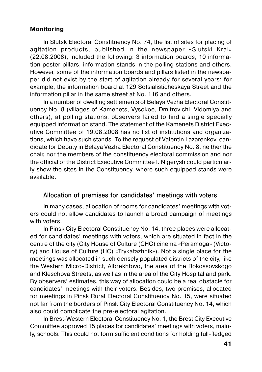#### **Monitoring**

In Slutsk Electoral Constituency No. 74, the list of sites for placing of agitation products, published in the newspaper «Slutski Krai» (22.08.2008), included the following: 3 information boards, 10 informa tion poster pillars, information stands in the polling stations and others. However, some of the information boards and pillars listed in the newspa per did not exist by the start of agitation already for several years: for example, the information board at 129 Sotsialisticheskaya Street and the information pillar in the same street at No. 116 and others.

In a number of dwelling settlements of Belaya Vezha Electoral Constit uency No. 8 (villages of Kamenets, Vysokoe, Dmitrovichi, Vidomlya and others), at polling stations, observers failed to find a single specially equipped information stand. The statement of the Kamenets District Exec utive Committee of 19.08.2008 has no list of institutions and organiza tions, which have such stands. To the request of Valentin Lazarenkov, can didate for Deputy in Belaya Vezha Electoral Constituency No. 8, neither the chair, nor the members of the constituency electoral commission and nor the official of the District Executive Committee І. Nigerysh could particular ly show the sites in the Constituency, where such equipped stands were available.

### **Allocation of premises for candidates' meetings with voters**

In many cases, allocation of rooms for candidates' meetings with vot ers could not allow candidates to launch a broad campaign of meetings with voters.

In Pinsk City Electoral Constituency No. 14, three places were allocat ed for candidates' meetings with voters, which are situated in fact in the centre of the city (City House of Culture (CHC) cinema «Peramoga» (Victo ry) and House of Culture (HC) «Trykatazhnik»). Not a single place for the meetings was allocated in such densely populated districts of the city, like the Western Micro-District, Albrekhtovo, the area of the Rokossovskogo and Kleschova Streets, as well as in the area of the City Hospital and park. By observers' estimates, this way of allocation could be a real obstacle for candidates' meetings with their voters. Besides, two premises, allocated for meetings in Pinsk Rural Electoral Constituency No. 15, were situated not far from the borders of Pinsk City Electoral Constituency No. 14, which also could complicate the pre-electoral agitation.

In Brest-Western Electoral Constituency No. 1, the Brest City Executive Committee approved 15 places for candidates' meetings with voters, main ly, schools. This could not form sufficient conditions for holding full-fledged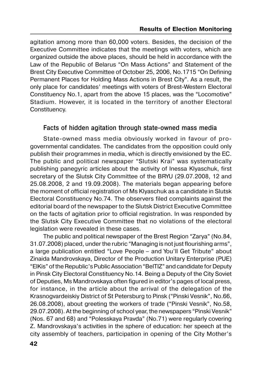agitation among more than 60,000 voters. Besides, the decision of the Executive Committee indicates that the meetings with voters, which are organized outside the above places, should be held in accordance with the Law of the Republic of Belarus "On Mass Actions" and Statement of the Brest City Executive Committee of October 25, 2006, No.1715 "On Defining Permanent Places for Holding Mass Actions in Brest City". As a result, the only place for candidates' meetings with voters of Brest-Western Electoral Constituency No.1, apart from the above 15 places, was the "Locomotive" Stadium. However, it is located in the territory of another Electoral Constituency.

### Facts of hidden agitation through state-owned mass media

State-owned mass media obviously worked in favour of pro governmental candidates. The candidates from the opposition could only publish their programmes in media, which is directly envisioned by the EC. The public and political newspaper "Slutski Krai" was systematically publishing panegyric articles about the activity of Inessa Klyaschuk, first secretary of the Slutsk City Committee of the BRYU (29.07.2008, 12 and 25.08.2008, 2 and 19.09.2008). The materials began appearing before the moment of official registration of Ms Klyaschuk as a candidate in Slutsk Electoral Constituency No.74. The observers filed complaints against the editorial board of the newspaper to the Slutsk District Executive Committee on the facts of agitation prior to official registration. In was responded by the Slutsk City Executive Committee that no violations of the electoral legislation were revealed in these cases.

The public and political newspaper of the Brest Region "Zarya" (No.84, 31.07.2008) placed, under the rubric "Managing is not just flourishing arms", a large publication entitled "Love People – and You'll Get Tribute" about Zinaida Mandrovskaya, Director of the Production Unitary Enterprise (PUE) "ElKis" of the Republic's Public Association "BelTIZ" and candidate for Deputy in Pinsk City Electoral Constituency No.14. Being a Deputy of the City Soviet of Deputies, Ms Mandrovskaya often figured in editor's pages of local press, for instance, in the article about the arrival of the delegation of the Krasnogvardeiskiy District of St Petersburg to Pinsk ("Pinski Vesnik", No.66, 26.08.2008), about greeting the workers of trade ("Pinski Vesnik", No.58, 29.07.2008). At the beginning of school year, the newspapers "Pinski Vesnik" (Nos. 67 and 68) and "Polesskaya Pravda" (No.71) were regularly covering Z. Mandrovskaya's activities in the sphere of education: her speech at the city assembly of teachers, participation in opening of the City Mother's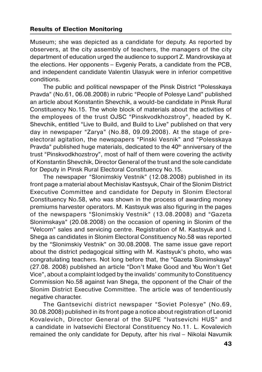Museum; she was depicted as a candidate for deputy. As reported by observers, at the city assembly of teachers, the managers of the city department of education urged the audience to support Z. Mandrovskaya at the elections. Her opponents – Evgeniy Perats, a candidate from the PCB, and independent candidate Valentin Ulasyuk were in inferior competitive conditions.

The public and political newspaper of the Pinsk District "Polesskaya Pravda" (No.61, 06.08.2008) in rubric "People of Polesye Land" published an article about Konstantin Shevchik, a would-be candidate in Pinsk Rural Constituency No.15. The whole block of materials about the activities of the employees of the trust OJSC "Pinskvodkhozstroy", headed by K. Shevchik, entitled "Live to Build, and Build to Live" published on that very day in newspaper "Zarya" (No.88, 09.09.2008). At the stage of pre electoral agitation, the newspapers "Pinski Vesnik" and "Polesskaya Pravda" published huge materials, dedicated to the  $40<sup>th</sup>$  anniversary of the trust "Pinskvodkhozstroy", most of half of them were covering the activity of Konstantin Shevchik, Director General of the trust and the sole candidate for Deputy in Pinsk Rural Electoral Constituency No.15.

The newspaper "Slonimskiy Vestnik" (12.08.2008) published in its front page a material about Mechislav Kastsyuk, Chair of the Slonim District Executive Committee and candidate for Deputy in Slonim Electoral Constituency No.58, who was shown in the process of awarding money premiums harvester operators. M. Kastsyuk was also figuring in the pages of the newspapers "Slonimskiy Vestnik" (13.08.2008) and "Gazeta Slonimskaya" (20.08.2008) on the occasion of opening in Slonim of the "Velcom" sales and servicing centre. Registration of M. Kastsyuk and І. Shega as candidates in Slonim Electoral Constituency No.58 was reported by the "Slonimskiy Vestnik" on 30.08.2008. The same issue gave report about the district pedagogical sitting with M. Kastsyuk's photo, who was congratulating teachers. Not long before that, the "Gazeta Slonimskaya" (27.08. 2008) published an article "Don't Make Good and You Won't Get Vice", about a complaint lodged by the invalids' community to Constituency Commission No.58 against Ivan Shega, the opponent of the Chair of the Slonim District Executive Committee. The article was of tendentiously negative character.

The Gantsevichi district newspaper "Soviet Polesye" (No.69, 30.08.2008) published in its front page a notice about registration of Leonid Kovalevich, Director General of the SUPE "Ivatsevichi HUS" and a candidate in Ivatsevichi Electoral Constituency No.11. L. Kovalevich remained the only candidate for Deputy, after his rival – Nikolai Navumik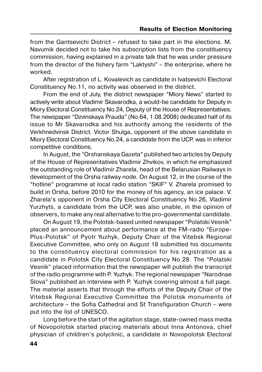from the Gantsevichi District – refused to take part in the elections. M. Navumik decided not to take his subscription lists from the constituency commission, having explained in a private talk that he was under pressure from the director of the fishery farm "Laktyshi" – the enterprise, where he worked.

After registration of L. Kovalevich as candidate in Ivatsevichi Electoral Constituency No.11, no activity was observed in the district.

From the end of July, the district newspaper "Miory News" started to actively write about Vladimir Skavarodka, a would-be candidate for Deputy in Miory Electoral Constituency No.24, Deputy of the House of Representatives. The newspaper "Dzvinskaya Prauda" (No.64, 1.08.2008) dedicated half of its issue to Mr Skavarodka and his authority among the residents of the Verkhnedvinsk District. Victor Shulga, opponent of the above candidate in Miory Electoral Constituency No.24, a candidate from the UCP, was in inferior competitive conditions.

In August, the "Orshanskaya Gazeta" published two articles by Deputy of the House of Representatives Vladimir Zhvikov, in which he emphasized the outstanding role of Vladimir Zharela, head of the Belarusian Railways in development of the Orsha railway node. On August 12, in the course of the "hotline" programme at local radio station "SKIF" V. Zharela promised to build in Orsha, before 2010 for the money of his agency, an ice palace. V. Zharela's opponent in Orsha City Electoral Constituency No.26, Vladimir Yurzhyts, a candidate from the UCP, was also unable, in the opinion of observers, to make any real alternative to the pro-governmental candidate.

On August 19, the Polotsk-based united newspaper "Polatski Vesnik" placed an announcement about performance at the FM-radio "Europe- Plus-Polotsk" of Pyotr Yuzhyk, Deputy Chair of the Vitebsk Regional Executive Committee, who only on August 18 submitted his documents to the constituency electoral commission for his registration as a candidate in Polotsk City Electoral Constituency No.28. The "Polatski Vesnik" placed information that the newspaper will publish the transcript of the radio programme with P. Yuzhyk. The regional newspaper "Narodnae Slova" published an interview with P. Yuzhyk covering almost a full page. The material asserts that through the efforts of the Deputy Chair of the Vitebsk Regional Executive Committee the Polotsk monuments of architecture – the Sofia Cathedral and St Transfiguration Church – were put into the list of UNESCO.

Long before the start of the agitation stage, state-owned mass media of Novopolotsk started placing materials about Inna Antonova, chief physician of children's polyclinic, a candidate in Novopolotsk Electoral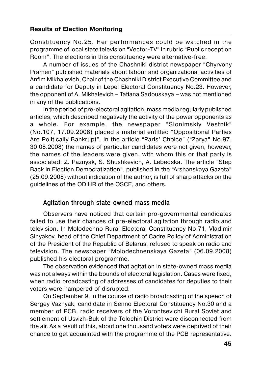Constituency No.25. Her performances could be watched in the programme of local state television "Vector-TV" in rubric "Public reception Room". The elections in this constituency were alternative-free.

A number of issues of the Chashniki district newspaper "Chyrvony Pramen" published materials about labour and organizational activities of Anfim Mikhalevich, Chair of the Chashniki District Executive Committee and a candidate for Deputy in Lepel Electoral Constituency No.23. However, the opponent of А. Mikhalevich – Tatiana Sadouskaya – was not mentioned in any of the publications.

In the period of pre-electoral agitation, mass media regularly published articles, which described negatively the activity of the power opponents as a whole. For example, the newspaper "Slonimskiy Vestnik" (No.107, 17.09.2008) placed a material entitled "Oppositional Parties Are Politically Bankrupt". In the article "Paris' Choice" ("Zarya" No.97, 30.08.2008) the names of particular candidates were not given, however, the names of the leaders were given, with whom this or that party is associated: Z. Paznyak, S. Shushkevich, А. Lebedska. The article "Step Back in Election Democratization", published in the "Arshanskaya Gazeta" (25.09.2008) without indication of the author, is full of sharp attacks on the guidelines of the ODIHR of the OSCE, and others.

### Agitation through state-owned mass media

Observers have noticed that certain pro-governmental candidates failed to use their chances of pre-electoral agitation through radio and television. In Molodechno Rural Electoral Constituency No.71, Vladimir Sinyakov, head of the Chief Department of Cadre Policy of Administration of the President of the Republic of Belarus, refused to speak on radio and television. The newspaper "Molodechnenskaya Gazeta" (06.09.2008) published his electoral programme.

The observation evidenced that agitation in state-owned mass media was not always within the bounds of electoral legislation. Cases were fixed, when radio broadcasting of addresses of candidates for deputies to their voters were hampered of disrupted.

On September 9, in the course of radio broadcasting of the speech of Sergey Vaznyak, candidate in Senno Electoral Constituency No.30 and a member of PCB, radio receivers of the Vorontsevichi Rural Soviet and settlement of Usvizh-Buk of the Tolochin District were disconnected from the air. As a result of this, about one thousand voters were deprived of their chance to get acquainted with the programme of the PCB representative.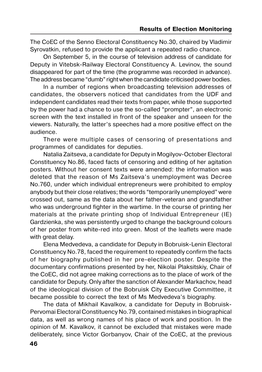The CoEC of the Senno Electoral Constituency No.30, chaired by Vladimir Syrovatkin, refused to provide the applicant a repeated radio chance.

On September 5, in the course of television address of candidate for Deputy in Vitebsk-Railway Electoral Constituency А. Levinov, the sound disappeared for part of the time (the programme was recorded in advance). The address became "dumb" right when the candidate criticised power bodies.

In a number of regions when broadcasting television addresses of candidates, the observers noticed that candidates from the UDF and independent candidates read their texts from paper, while those supported by the power had a chance to use the so-called "prompter", an electronic screen with the text installed in front of the speaker and unseen for the viewers. Naturally, the latter's speeches had a more positive effect on the audience.

There were multiple cases of censoring of presentations and programmes of candidates for deputies.

Natalia Zaitseva, a candidate for Deputy in Mogilyov-October Electoral Constituency No.86, faced facts of censoring and editing of her agitation posters. Without her consent texts were amended: the information was deleted that the reason of Ms Zaitseva's unemployment was Decree No.760, under which individual entrepreneurs were prohibited to employ anybody but their close relatives; the words "temporarily unemployed" were crossed out, same as the data about her father-veteran and grandfather who was underground fighter in the wartime. In the course of printing her materials at the private printing shop of Individual Entrepreneur (IE) Gardzienka, she was persistently urged to change the background colours of her poster from white-red into green. Most of the leaflets were made with great delay.

Elena Medvedeva, a candidate for Deputy in Bobruisk-Lenin Electoral Constituency No.78, faced the requirement to repeatedly confirm the facts of her biography published in her pre-election poster. Despite the documentary confirmations presented by her, Nikolai Plaksitskiy, Chair of the CoEC, did not agree making corrections as to the place of work of the candidate for Deputy. Only after the sanction of Alexander Markachov, head of the ideological division of the Bobruisk City Executive Committee, it became possible to correct the text of Ms Medvedeva's biography.

The data of Mikhail Kavalkov, a candidate for Deputy in Bobruisk- Pervomai Electoral Constituency No.79, contained mistakes in biographical data, as well as wrong names of his place of work and position. In the opinion of M. Kavalkov, it cannot be excluded that mistakes were made deliberately, since Victor Gorbanyov, Chair of the CoEC, at the previous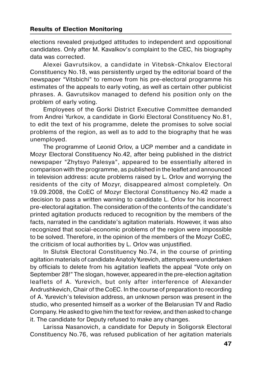elections revealed prejudged attitudes to independent and oppositional candidates. Only after M. Kavalkov's complaint to the CEC, his biography data was corrected.

Alexei Gavrutsikov, a candidate in Vitebsk-Chkalov Electoral Constituency No.18, was persistently urged by the editorial board of the newspaper "Vitsbichi" to remove from his pre-electoral programme his estimates of the appeals to early voting, as well as certain other publicist phrases. А. Gavrutsikov managed to defend his position only on the problem of early voting.

Employees of the Gorki District Executive Committee demanded from Andrei Yurkov, a candidate in Gorki Electoral Constituency No.81, to edit the text of his programme, delete the promises to solve social problems of the region, as well as to add to the biography that he was unemployed.

The programme of Leonid Orlov, a UCP member and a candidate in Mozyr Electoral Constituency No.42, after being published in the district newspaper "Zhytsyo Palesya", appeared to be essentially altered in comparison with the programme, as published in the leaflet and announced in television address: acute problems raised by L. Orlov and worrying the residents of the city of Mozyr, disappeared almost completely. On 19.09.2008, the CoEC of Mozyr Electoral Constituency No.42 made a decision to pass a written warning to candidate L. Orlov for his incorrect pre-electoral agitation. The consideration of the contents of the candidate's printed agitation products reduced to recognition by the members of the facts, narrated in the candidate's agitation materials. However, it was also recognized that social-economic problems of the region were impossible to be solved. Therefore, in the opinion of the members of the Mozyr CoEC, the criticism of local authorities by L. Orlov was unjustified.

In Slutsk Electoral Constituency No.74, in the course of printing agitation materials of candidate Anatoly Yurevich, attempts were undertaken by officials to delete from his agitation leaflets the appeal "Vote only on September 28!" The slogan, however, appeared in the pre-election agitation leaflets of А. Yurevich, but only after interference of Alexander Andrushkevich, Chair of the CoEC. In the course of preparation to recording of А. Yurevich's television address, an unknown person was present in the studio, who presented himself as a worker of the Belarusian TV and Radio Company. He asked to give him the text for review, and then asked to change it. The candidate for Deputy refused to make any changes.

Larissa Nasanovich, a candidate for Deputy in Soligorsk Electoral Constituency No.76, was refused publication of her agitation materials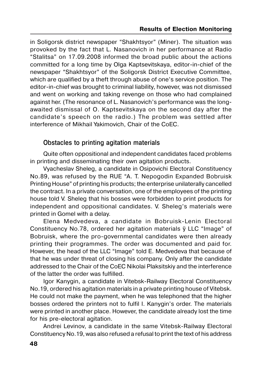in Soligorsk district newspaper "Shakhtsyor" (Miner). The situation was provoked by the fact that L. Nasanovich in her performance at Radio "Stalitsa" on 17.09.2008 informed the broad public about the actions committed for a long time by Olga Kaptsevitskaya, editor-in-chief of the newspaper "Shakhtsyor" of the Soligorsk District Executive Committee, which are qualified by a theft through abuse of one's service position. The editor-in-chief was brought to criminal liability, however, was not dismissed and went on working and taking revenge on those who had complained against her. (The resonance of L. Nasanovich's performance was the long awaited dismissal of O. Kaptsevitskaya on the second day after the candidate's speech on the radio.) The problem was settled after interference of Mikhail Yakimovich, Chair of the CoEC.

## **Obstacles to printing agitation materials**

Quite often oppositional and independent candidates faced problems in printing and disseminating their own agitation products.

Vyacheslav Sheleg, a candidate in Osipovichi Electoral Constituency No.89, was refused by the RUE "A. T. Nepogodin Expanded Bobruisk Printing House" of printing his products; the enterprise unilaterally cancelled the contract. In a private conversation, one of the employees of the printing house told V. Sheleg that his bosses were forbidden to print products for independent and oppositional candidates. V. Sheleg's materials were printed in Gomel with a delay.

Elena Medvedeva, a candidate in Bobruisk-Lenin Electoral Constituency No.78, ordered her agitation materials ў LLC "Image" of Bobruisk, where the pro-governmental candidates were then already printing their programmes. The order was documented and paid for. However, the head of the LLC "Image" told E. Medvedeva that because of that he was under threat of closing his company. Only after the candidate addressed to the Chair of the CoEC Nikolai Plaksitskiy and the interference of the latter the order was fulfilled.

Igor Kanygin, a candidate in Vitebsk-Railway Electoral Constituency No.19, ordered his agitation materials in a private printing house of Vitebsk. He could not make the payment, when he was telephoned that the higher bosses ordered the printers not to fulfil І. Kanygin's order. The materials were printed in another place. However, the candidate already lost the time for his pre-electoral agitation.

Andrei Levinov, a candidate in the same Vitebsk-Railway Electoral Constituency No.19, was also refused a refusal to print the text of his address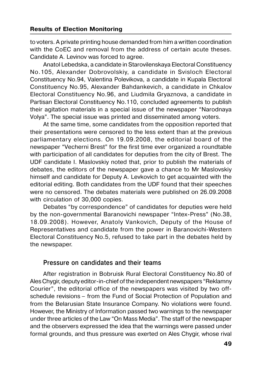to voters. A private printing house demanded from him a written coordination with the CoEC and removal from the address of certain acute theses. Candidate А. Levinov was forced to agree.

Anatol Lebedska, a candidate in Starovilenskaya Electoral Constituency No.105, Alexander Dobrovolskiy, a candidate in Svisloch Electoral Constituency No.94, Valentina Polevikova, a candidate in Kupala Electoral Constituency No.95, Alexander Bahdankevich, a candidate in Chkalov Electoral Constituency No.96, and Liudmila Gryaznova, a candidate in Partisan Electoral Constituency No.110, concluded agreements to publish their agitation materials in a special issue of the newspaper "Narodnaya Volya". The special issue was printed and disseminated among voters.

At the same time, some candidates from the opposition reported that their presentations were censored to the less extent than at the previous parliamentary elections. On 19.09.2008, the editorial board of the newspaper "Vecherni Brest" for the first time ever organized a roundtable with participation of all candidates for deputies from the city of Brest. The UDF candidate І. Maslovskiy noted that, prior to publish the materials of debates, the editors of the newspaper gave a chance to Mr Maslovskiy himself and candidate for Deputy А. Levkovich to get acquainted with the editorial editing. Both candidates from the UDF found that their speeches were no censored. The debates materials were published on 26.09.2008 with circulation of 30,000 copies.

Debates "by correspondence" of candidates for deputies were held by the non-governmental Baranovichi newspaper "Intex-Press" (No.38, 18.09.2008). However, Anatoly Vankovich, Deputy of the House of Representatives and candidate from the power in Baranovichi-Western Electoral Constituency No.5, refused to take part in the debates held by the newspaper.

### **Pressure on candidates and their teams**

After registration in Bobruisk Rural Electoral Constituency No.80 of Ales Chygir, deputy editor-in-chief of the independent newspapers "Reklamny Courier", the editorial office of the newspapers was visited by two off schedule revisions – from the Fund of Social Protection of Population and from the Belarusian State Insurance Company. No violations were found. However, the Ministry of Information passed two warnings to the newspaper under three articles of the Law "On Mass Media". The staff of the newspaper and the observers expressed the idea that the warnings were passed under formal grounds, and thus pressure was exerted on Ales Chygir, whose rival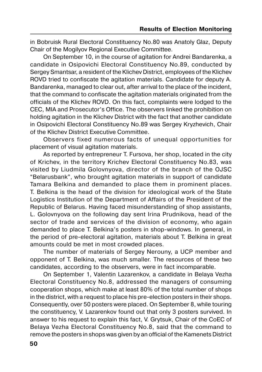in Bobruisk Rural Electoral Constituency No.80 was Anatoly Glaz, Deputy Chair of the Mogilyov Regional Executive Committee.

On September 10, in the course of agitation for Andrei Bandarenka, a candidate in Osipovichi Electoral Constituency No.89, conducted by Sergey Smantsar, a resident of the Klichev District, employees of the Klichev ROVD tried to confiscate the agitation materials. Candidate for deputy А. Bandarenka, managed to clear out, after arrival to the place of the incident, that the command to confiscate the agitation materials originated from the officials of the Klichev ROVD. On this fact, complaints were lodged to the CEC, MIA and Prosecutor's Office. The observers linked the prohibition on holding agitation in the Klichev District with the fact that another candidate in Osipovichi Electoral Constituency No.89 was Sergey Kryzhevich, Chair of the Klichev District Executive Committee.

Observers fixed numerous facts of unequal opportunities for placement of visual agitation materials.

As reported by entrepreneur T. Fursova, her shop, located in the city of Krichev, in the territory Krichev Electoral Constituency No.83, was visited by Liudmila Golovnyova, director of the branch of the OJSC "Belarusbank", who brought agitation materials in support of candidate Tamara Belkina and demanded to place them in prominent places. T. Belkina is the head of the division for ideological work of the State Logistics Institution of the Department of Affairs of the President of the Republic of Belarus. Having faced misunderstanding of shop assistants, L. Golovnyova on the following day sent Irina Prudnikova, head of the sector of trade and services of the division of economy, who again demanded to place T. Belkina's posters in shop-windows. In general, in the period of pre-electoral agitation, materials about T. Belkina in great amounts could be met in most crowded places.

The number of materials of Sergey Nerouny, a UCP member and opponent of T. Belkina, was much smaller. The resources of these two candidates, according to the observers, were in fact incomparable.

On September 1, Valentin Lazarenkov, a candidate in Belaya Vezha Electoral Constituency No.8, addressed the managers of consuming cooperation shops, which make at least 80% of the total number of shops in the district, with a request to place his pre-election posters in their shops. Consequently, over 50 posters were placed. On September 8, while touring the constituency, V. Lazarenkov found out that only 3 posters survived. In answer to his request to explain this fact, V. Grytsuk, Chair of the CoEC of Belaya Vezha Electoral Constituency No.8, said that the command to remove the posters in shops was given by an official of the Kamenets District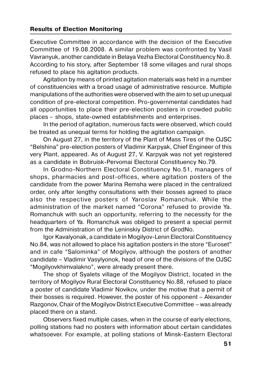Executive Committee in accordance with the decision of the Executive Committee of 19.08.2008. A similar problem was confronted by Vasil Vavranyuk, another candidate in Belaya Vezha Electoral Constituency No.8. According to his story, after September 18 some villages and rural shops refused to place his agitation products.

Agitation by means of printed agitation materials was held in a number of constituencies with a broad usage of administrative resource. Multiple manipulations of the authorities were observed with the aim to set up unequal condition of pre-electoral competition. Pro-governmental candidates had all opportunities to place their pre-election posters in crowded public places – shops, state-owned establishments and enterprises.

In the period of agitation, numerous facts were observed, which could be treated as unequal terms for holding the agitation campaign.

On August 27, in the territory of the Plant of Mass Tires of the OJSC "Belshina" pre-election posters of Vladimir Karpyak, Chief Engineer of this very Plant, appeared. As of August 27, V. Karpyak was not yet registered as a candidate in Bobruisk-Pervomai Electoral Constituency No.79.

In Grodno-Northern Electoral Constituency No.51, managers of shops, pharmacies and post-offices, where agitation posters of the candidate from the power Marina Remsha were placed in the centralized order, only after lengthy consultations with their bosses agreed to place also the respective posters of Yaroslav Romanchuk. While the administration of the market named "Corona" refused to provide Ya. Romanchuk with such an opportunity, referring to the necessity for the headquarters of Ya. Romanchuk was obliged to present a special permit from the Administration of the Leninskiy District of GrodNo.

Igor Kavalyonak, a candidate in Mogilyov-Lenin Electoral Constituency No.84, was not allowed to place his agitation posters in the store "Euroset" and in cafе "Salominka" of Mogilyov, although the posters of another candidate – Vladimir Vasylyonok, head of one of the divisions of the OJSC "Mogilyovkhimvalakno", were already present there.

The shop of Syalets village of the Mogilyov District, located in the territory of Mogilyov Rural Electoral Constituency No.88, refused to place a poster of candidate Vladimir Novikov, under the motive that a permit of their bosses is required. However, the poster of his opponent – Alexander Razgonov, Chair of the Mogilyov District Executive Committee – was already placed there on a stand.

Observers fixed multiple cases, when in the course of early elections, polling stations had no posters with information about certain candidates whatsoever. For example, at polling stations of Minsk-Eastern Electoral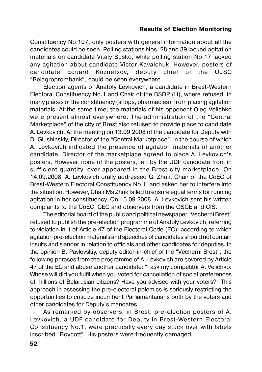Constituency No.107, only posters with general information about all the candidates could be seen. Polling stations Nos. 28 and 39 lacked agitation materials on candidate Vitaly Busko, while polling station No.17 lacked any agitation about candidate Victor Kavalchuk. However, posters of candidate Eduard Kuznetsov, deputy chief of the OJSC "Belagroprombank", could be seen everywhere.

Election agents of Anatoly Levkovich, a candidate in Brest-Western Electoral Constituency No.1 and Chair of the BSDP (H), where refused, in many places of the constituency (shops, pharmacies), from placing agitation materials. At the same time, the materials of his opponent Oleg Velichko were present almost everywhere. The administration of the "Central Marketplace" of the city of Brest also refused to provide place to candidate А. Levkovich. At the meeting on 13.09.2008 of the candidate for Deputy with D. Glushinskiy, Director of the "Central Marketplace", in the course of which А. Levkovich indicated the presence of agitation materials of another candidate, Director of the marketplace agreed to place А. Levkovich's posters. However, none of the posters, left by the UDF candidate from in sufficient quantity, ever appeared in the Brest city marketplace. On 14.09.2008, А. Levkovich orally addressed G. Zhuk, Chair of the CoEC of Brest-Western Electoral Constituency No.1, and asked her to interfere into the situation. However, Chair Ms Zhuk failed to ensure equal terms for running agitation in her constituency. On 15.09.2008, А. Levkovich sent his written complaints to the CoEC, CEC and observers from the OSCE and CIS.

The editorial board of the public and political newspaper "Vecherni Brest" refused to publish the pre-election programme of Anatoly Levkovich, referring to violation in it of Article 47 of the Electoral Code (EC), according to which agitation pre-election materials and speeches of candidates should not contain insults and slander in relation to officials and other candidates for deputies. In the opinion B. Pavlovskiy, deputy editor-in-chief of the "Vecherni Brest", the following phrases from the programme of А. Levkovich are covered by Article 47 of the EC and abuse another candidate: "I ask my competitor А. Velichko: Whose will did you fulfil when you voted for cancellation of social preferences of millions of Belarusian citizens? Have you advised with your voters?" This approach in assessing the pre-electoral polemics is seriously restricting the opportunities to criticize incumbent Parliamentarians both by the voters and other candidates for Deputy's mandates.

As remarked by observers, in Brest, pre-election posters of А. Levkovich, a UDF candidate for Deputy in Brest-Western Electoral Constituency No.1, were practically every day stuck over with labels inscribed "Boycott". His posters were frequently damaged.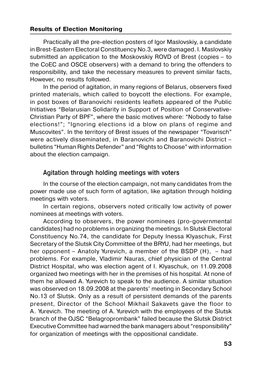Practically all the pre-election posters of Igor Maslovskiy, a candidate in Brest-Eastern Electoral Constituency No.3, were damaged. І. Maslovskiy submitted an application to the Moskovskiy ROVD of Brest (copies – to the CoEC and OSCE observers) with a demand to bring the offenders to responsibility, and take the necessary measures to prevent similar facts, However, no results followed.

In the period of agitation, in many regions of Belarus, observers fixed printed materials, which called to boycott the elections. For example, in post boxes of Baranovichi residents leaflets appeared of the Public Initiatives "Belarusian Solidarity in Support of Position of Conservative- Christian Party of BPF", where the basic motives where: "Nobody to false elections!"; "Ignoring elections id a blow on plans of regime and Muscovites". In the territory of Brest issues of the newspaper "Tovarisch" were actively disseminated, in Baranovichi and Baranovichi District – bulletins "Human Rights Defender" and "Rights to Choose" with information about the election campaign.

### **Agitation through holding meetings with voters**

In the course of the election campaign, not many candidates from the power made use of such form of agitation, like agitation through holding meetings with voters.

In certain regions, observers noted critically low activity of power nominees at meetings with voters.

According to observers, the power nominees (pro-governmental candidates) had no problems in organizing the meetings. In Slutsk Electoral Constituency No.74, the candidate for Deputy Inessa Klyaschuk, First Secretary of the Slutsk City Committee of the BRYU, had her meetings, but her opponent – Anatoly Yurevich, a member of the BSDP (H), – had problems. For example, Vladimir Nauras, chief physician of the Central District Hospital, who was election agent of І. Klyaschuk, on 11.09.2008 organized two meetings with her in the premises of his hospital. At none of them he allowed А. Yurevich to speak to the audience. A similar situation was observed on 18.09.2008 at the parents' meeting in Secondary School No.13 of Slutsk. Only as a result of persistent demands of the parents present, Director of the School Mikhail Sakavets gave the floor to А. Yurevich. The meeting of А. Yurevich with the employees of the Slutsk branch of the OJSC "Belagroprombank" failed because the Slutsk District Executive Committee had warned the bank managers about "responsibility" for organization of meetings with the oppositional candidate.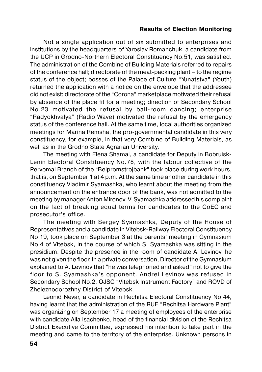Not a single application out of six submitted to enterprises and institutions by the headquarters of Yaroslav Romanchuk, a candidate from the UCP in Grodno-Northern Electoral Constituency No.51, was satisfied. The administration of the Combine of Building Materials referred to repairs of the conference hall; directorate of the meat-packing plant – to the regime status of the object; bosses of the Palace of Culture "Yunatstva" (Youth) returned the application with a notice on the envelope that the addressee did not exist; directorate of the "Corona" marketplace motivated their refusal by absence of the place fit for a meeting; direction of Secondary School No.23 motivated the refusal by ball-room dancing; enterprise "Radyokhvalya" (Radio Wave) motivated the refusal by the emergency status of the conference hall. At the same time, local authorities organized meetings for Marina Remsha, the pro-governmental candidate in this very constituency, for example, in that very Combine of Building Materials, as well as in the Grodno State Agrarian University.

The meeting with Elena Shamal, a candidate for Deputy in Bobruisk- Lenin Electoral Constituency No.78, with the labour collective of the Pervomai Branch of the "Belpromstrojbank" took place during work hours, that is, on September 1 at 4 p.m. At the same time another candidate in this constituency Vladimir Syamashka, who learnt about the meeting from the announcement on the entrance door of the bank, was not admitted to the meeting by manager Anton Mironov. V. Syamashka addressed his complaint on the fact of breaking equal terms for candidates to the CoEC and prosecutor's office.

The meeting with Sergey Syamashka, Deputy of the House of Representatives and a candidate in Vitebsk-Railway Electoral Constituency No.19, took place on September 3 at the parents' meeting in Gymnasium No.4 of Vitebsk, in the course of which S. Syamashka was sitting in the presidium. Despite the presence in the room of candidate А. Levinov, he was not given the floor. In a private conversation, Director of the Gymnasium explained to А. Levinov that "he was telephoned and asked" not to give the floor to S. Syamashka's opponent. Аndrei Levinov was refused in Secondary School No.2, OJSC "Vitebsk Instrument Factory" and ROVD of Zheleznodorozhny District of Vitebsk.

Leonid Nevar, a candidate in Rechitsa Electoral Constituency No.44, having learnt that the administration of the RUE "Rechitsa Hardware Plant" was organizing on September 17 a meeting of employees of the enterprise with candidate Alla Isachenko, head of the financial division of the Rechitsa District Executive Committee, expressed his intention to take part in the meeting and came to the territory of the enterprise. Unknown persons in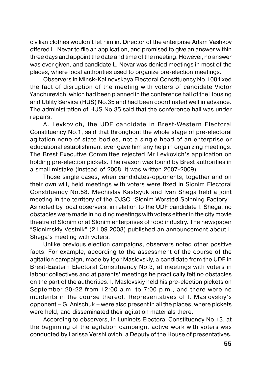civilian clothes wouldn't let him in. Director of the enterprise Adam Vashkov offered L. Nevar to file an application, and promised to give an answer within three days and appoint the date and time of the meeting. However, no answer was ever given, and candidate L. Nevar was denied meetings in most of the places, where local authorities used to organize pre-election meetings.

Observers in Minsk-Kalinovskaya Electoral Constituency No.108 fixed the fact of disruption of the meeting with voters of candidate Victor Yanchurevich, which had been planned in the conference hall of the Housing and Utility Service (HUS) No.35 and had been coordinated well in advance. The administration of HUS No.35 said that the conference hall was under repairs.

А. Levkovich, the UDF candidate in Brest-Western Electoral Constituency No.1, said that throughout the whole stage of pre-electoral agitation none of state bodies, not a single head of an enterprise or educational establishment ever gave him any help in organizing meetings. The Brest Executive Committee rejected Mr Levkovich's application on holding pre-election pickets. The reason was found by Brest authorities in a small mistake (instead of 2008, it was written 2007-2009).

Those single cases, when candidates-opponents, together and on their own will, held meetings with voters were fixed in Slonim Electoral Constituency No.58. Mechislav Kastsyuk and Ivan Shega held a joint meeting in the territory of the OJSC "Slonim Worsted Spinning Factory". As noted by local observers, in relation to the UDF candidate І. Shega, no obstacles were made in holding meetings with voters either in the city movie theatre of Slonim or at Slonim enterprises of food industry. The newspaper "Slonimskiy Vestnik" (21.09.2008) published an announcement about І. Shega's meeting with voters.

Unlike previous election campaigns, observers noted other positive facts. For example, according to the assessment of the course of the agitation campaign, made by Igor Maslovskiy, a candidate from the UDF in Brest-Eastern Electoral Constituency No.3, at meetings with voters in labour collectives and at parents' meetings he practically felt no obstacles on the part of the authorities. І. Maslovskiy held his pre-election pickets on September 20-22 from 12:00 a.m. to 7:00 p.m., and there were no incidents in the course thereof. Representatives of І. Maslovskiy's opponent – G. Anischuk – were also present in all the places, where pickets were held, and disseminated their agitation materials there.

According to observers, in Luninets Electoral Constituency No.13, at the beginning of the agitation campaign, active work with voters was conducted by Larissa Vershilovich, a Deputy of the House of presentatives.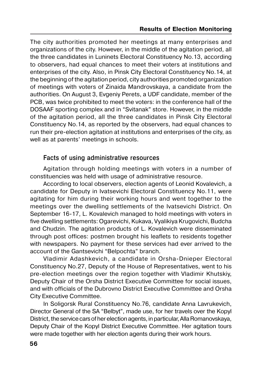The city authorities promoted her meetings at many enterprises and organizations of the city. However, in the middle of the agitation period, all the three candidates in Luninets Electoral Constituency No.13, according to observers, had equal chances to meet their voters at institutions and enterprises of the city. Also, in Pinsk City Electoral Constituency No.14, at the beginning of the agitation period, city authorities promoted organization of meetings with voters of Zinaida Mandrovskaya, a candidate from the authorities. On August 3, Evgeniy Perets, a UDF candidate, member of the PCB, was twice prohibited to meet the voters: in the conference hall of the DOSAAF sporting complex and in "Svitanak" store. However, in the middle of the agitation period, all the three candidates in Pinsk City Electoral Constituency No.14, as reported by the observers, had equal chances to run their pre-election agitation at institutions and enterprises of the city, as well as at parents' meetings in schools.

### **Facts of using administrative resources**

Agitation through holding meetings with voters in a number of constituencies was held with usage of administrative resource.

According to local observers, election agents of Leonid Kovalevich, a candidate for Deputy in Ivatsevichi Electoral Constituency No.11, were agitating for him during their working hours and went together to the meetings over the dwelling settlements of the Ivatsevichi District. On September 16-17, L. Kovalevich managed to hold meetings with voters in five dwelling settlements: Ogarevichi, Kukava, Vyalikiya Krugovichi, Budcha and Chudzin. The agitation products of L. Kovalevich were disseminated through post offices: postmen brought his leaflets to residents together with newspapers. No payment for these services had ever arrived to the account of the Gantsevichi "Belpochta" branch.

Vladimir Adashkevich, a candidate in Orsha-Dnieper Electoral Constituency No.27, Deputy of the House of Representatives, went to his pre-election meetings over the region together with Vladimir Khutskiy, Deputy Chair of the Orsha District Executive Committee for social issues, and with officials of the Dubrovno District Executive Committee and Orsha City Executive Committee.

In Soligorsk Rural Constituency No.76, candidate Anna Lavrukevich, Director General of the SA "Belbyt", made use, for her travels over the Kopyl District, the service cars of her election agents, in particular, Alla Romanovskaya, Deputy Chair of the Kopyl District Executive Committee. Her agitation tours were made together with her election agents during their work hours.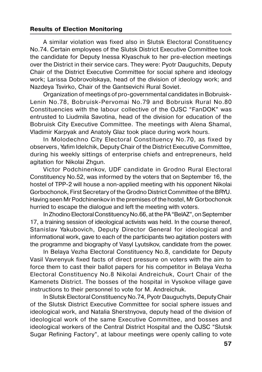A similar violation was fixed also in Slutsk Electoral Constituency No.74. Certain employees of the Slutsk District Executive Committee took the candidate for Deputy Inessa Klyaschuk to her pre-election meetings over the District in their service cars. They were: Pyotr Dauguchits, Deputy Chair of the District Executive Committee for social sphere and ideology work; Larissa Dobrovolskaya, head of the division of ideology work; and Nazdeya Tsvirko, Chair of the Gantsevichi Rural Soviet.

Organization of meetings of pro-governmental candidates in Bobruisk- Lenin No.78, Bobruisk-Pervomai No.79 and Bobruisk Rural No.80 Constituencies with the labour collective of the OJSC "FanDOK" was entrusted to Liudmila Savotina, head of the division for education of the Bobruisk City Executive Committee. The meetings with Alena Shamal, Vladimir Karpyak and Anatoly Glaz took place during work hours.

In Molodechno City Electoral Constituency No.70, as fixed by observers, Yafim Idelchik, Deputy Chair of the District Executive Committee, during his weekly sittings of enterprise chiefs and entrepreneurs, held agitation for Nikolai Zhgun.

Victor Podchinenkov, UDF candidate in Grodno Rural Electoral Constituency No.52, was informed by the voters that on September 16, the hostel of TPP-2 will house a non-applied meeting with his opponent Nikolai Gorbochonok, First Secretary of the Grodno District Committee of the BRYU. Having seen Mr Podchinenkov in the premises of the hostel, Mr Gorbochonok hurried to escape the dialogue and left the meeting with voters.

In Zhodino Electoral Constituency No.66, at the PA "BelAZ", on September 17, a training session of ideological activists was held. In the course thereof, Stanislav Yakubovich, Deputy Director General for ideological and informational work, gave to each of the participants two agitation posters with the programme and biography of Vasyl Lyutsikov, candidate from the power.

In Belaya Vezha Electoral Constituency No.8, candidate for Deputy Vasil Vavrenyuk fixed facts of direct pressure on voters with the aim to force them to cast their ballot papers for his competitor in Belaya Vezha Electoral Constituency No.8 Nikolai Andreichuk, Court Chair of the Kamenets District. The bosses of the hospital in Vysokoe village gave instructions to their personnel to vote for M. Andreichuk.

In Slutsk Electoral Constituency No.74, Pyotr Dauguchyts, Deputy Chair of the Slutsk District Executive Committee for social sphere issues and ideological work, and Natalia Sherstnyova, deputy head of the division of ideological work of the same Executive Committee, and bosses and ideological workers of the Central District Hospital and the OJSC "Slutsk Sugar Refining Factory", at labour meetings were openly calling to vote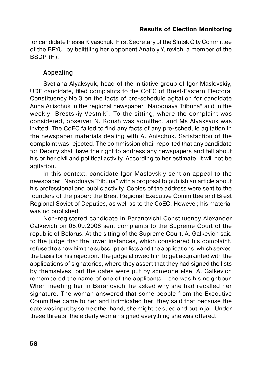for candidate Inessa Klyaschuk, First Secretary of the Slutsk City Committee of the BRYU, by belittling her opponent Anatoly Yurevich, a member of the BSDP (H).

### **Appealing**

Svetlana Alyaksyuk, head of the initiative group of Igor Maslovskiy, UDF candidate, filed complaints to the CoEC of Brest-Eastern Electoral Constituency No.3 on the facts of pre-schedule agitation for candidate Anna Anischuk in the regional newspaper "Narodnaya Tribuna" and in the weekly "Brestskiy Vestnik". To the sitting, where the complaint was considered, observer N. Koush was admitted, and Ms Alyaksyuk was invited. The CoEC failed to find any facts of any pre-schedule agitation in the newspaper materials dealing with A. Anischuk. Satisfaction of the complaint was rejected. The commission chair reported that any candidate for Deputy shall have the right to address any newspapers and tell about his or her civil and political activity. According to her estimate, it will not be agitation.

In this context, candidate Igor Maslovskiy sent an appeal to the newspaper "Narodnaya Tribuna" with a proposal to publish an article about his professional and public activity. Copies of the address were sent to the founders of the paper: the Brest Regional Executive Committee and Brest Regional Soviet of Deputies, as well as to the CoEC. However, his material was no published.

Non-registered candidate in Baranovichi Constituency Alexander Galkevich on 05.09.2008 sent complaints to the Supreme Court of the republic of Belarus. At the sitting of the Supreme Court, А. Galkevich said to the judge that the lower instances, which considered his complaint, refused to show him the subscription lists and the applications, which served the basis for his rejection. The judge allowed him to get acquainted with the applications of signatories, where they assert that they had signed the lists by themselves, but the dates were put by someone else. А. Galkevich remembered the name of one of the applicants – she was his neighbour. When meeting her in Baranovichi he asked why she had recalled her signature. The woman answered that some people from the Executive Committee came to her and intimidated her: they said that because the date was input by some other hand, she might be sued and put in jail. Under these threats, the elderly woman signed everything she was offered.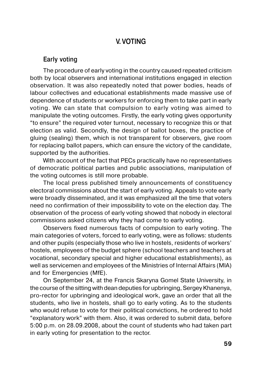## **V. VOTING**

### **Early voting**

The procedure of early voting in the country caused repeated criticism both by local observers and international institutions engaged in election observation. It was also repeatedly noted that power bodies, heads of labour collectives and educational establishments made massive use of dependence of students or workers for enforcing them to take part in early voting. We can state that compulsion to early voting was aimed to manipulate the voting outcomes. Firstly, the early voting gives opportunity "to ensure" the required voter turnout, necessary to recognize this or that election as valid. Secondly, the design of ballot boxes, the practice of gluing (sealing) them, which is not transparent for observers, give room for replacing ballot papers, which can ensure the victory of the candidate, supported by the authorities.

With account of the fact that PECs practically have no representatives of democratic political parties and public associations, manipulation of the voting outcomes is still more probable.

The local press published timely announcements of constituency electoral commissions about the start of early voting. Appeals to vote early were broadly disseminated, and it was emphasized all the time that voters need no confirmation of their impossibility to vote on the election day. The observation of the process of early voting showed that nobody in electoral commissions asked citizens why they had come to early voting.

Observers fixed numerous facts of compulsion to early voting. The main categories of voters, forced to early voting, were as follows: students and other pupils (especially those who live in hostels, residents of workers' hostels, employees of the budget sphere (school teachers and teachers at vocational, secondary special and higher educational establishments), as well as servicemen and employees of the Ministries of Internal Affairs (MIA) and for Emergencies (MfE).

On September 24, at the Francis Skaryna Gomel State University, in the course of the sitting with dean deputies for upbringing, Sergey Khanenya, pro-rector for upbringing and ideological work, gave an order that all the students, who live in hostels, shall go to early voting. As to the students who would refuse to vote for their political convictions, he ordered to hold "explanatory work" with them. Also, it was ordered to submit data, before 5:00 p.m. on 28.09.2008, about the count of students who had taken part in early voting for presentation to the rector.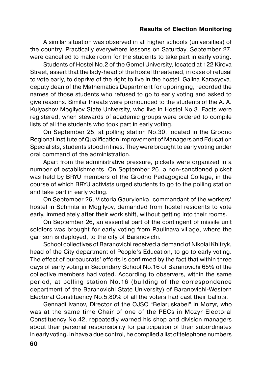A similar situation was observed in all higher schools (universities) of the country. Practically everywhere lessons on Saturday, September 27, were cancelled to make room for the students to take part in early voting.

Students of Hostel No.2 of the Gomel University, located at 122 Kirova Street, assert that the lady-head of the hostel threatened, in case of refusal to vote early, to deprive of the right to live in the hostel. Galina Karasyova, deputy dean of the Mathematics Department for upbringing, recorded the names of those students who refused to go to early voting and asked to give reasons. Similar threats were pronounced to the students of the A. A. Kulyashov Mogilyov State University, who live in Hostel No.3. Facts were registered, when stewards of academic groups were ordered to compile lists of all the students who took part in early voting.

On September 25, at polling station No.30, located in the Grodno Regional Institute of Qualification Improvement of Managers and Education Specialists, students stood in lines. They were brought to early voting under oral command of the administration.

Apart from the administrative pressure, pickets were organized in a number of establishments. On September 26, a non-sanctioned picket was held by BRYU members of the Grodno Pedagogical College, in the course of which BRYU activists urged students to go to the polling station and take part in early voting.

On September 26, Victoria Gaurylenka, commandant of the workers' hostel in Schmita in Mogilyov, demanded from hostel residents to vote early, immediately after their work shift, without getting into their rooms.

On September 26, an essential part of the contingent of missile unit soldiers was brought for early voting from Paulinava village, where the garrison is deployed, to the city of Baranovichi.

School collectives of Baranovichi received a demand of Nikolai Khitryk, head of the City department of People's Education, to go to early voting. The effect of bureaucrats' efforts is confirmed by the fact that within three days of early voting in Secondary School No.16 of Baranovichi 65% of the collective members had voted. According to observers, within the same period, at polling station No.16 (building of the correspondence department of the Baranovichi State University) of Baranovichi-Western Electoral Constituency No.5,80% of all the voters had cast their ballots.

Gennadi Ivanоv, Director of the OJSC "Belaruskabel" in Mozyr, who was at the same time Chair of one of the PECs in Mozyr Electoral Constituency No.42, repeatedly warned his shop and division managers about their personal responsibility for participation of their subordinates in early voting. In have a due control, he compiled a list of telephone numbers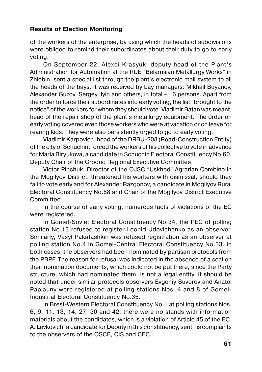of the workers of the enterprise, by using which the heads of subdivisions were obliged to remind their subordinates about their duty to go to early voting.

On September 22, Alexei Krasyuk, deputy head of the Plant's Administration for Automation at the RUE "Belarusian Metallurgy Works" in Zhlobin, sent a special list through the plant's electronic mail system to all the heads of the bays. It was received by bay managers: Mikhail Buyanov, Alexander Guzov, Sergey Іlyin and others, in total – 16 persons. Apart from the order to force their subordinates into early voting, the list "brought to the notice" of the workers for whom they should vote. Vladimir Batan was meant, head of the repair shop of the plant's metallurgy equipment. The order on early voting covered even those workers who were at vacation or on leave for rearing kids. They were also persistently urged to go to early voting.

Vladimir Karpovich, head of the DRBU-208 (Road-Construction Entity) of the city of Schuchin, forced the workers of his collective to vote in advance for Maria Biryukova, a candidate in Schuchin Electoral Constituency No.60, Deputy Chair of the Grodno Regional Executive Committee.

Victor Pinchuk, Director of the OJSC "Uskhod" Agrarian Combine in the Mogilyov District, threatened his workers with dismissal, should they fail to vote early and for Alexander Razgonov, a candidate in Mogilyov Rural Electoral Constituency No.88 and Chair of the Mogilyov District Executive Committee.

In the course of early voting, numerous facts of violations of the EC were registered.

In Gomel-Soviet Electoral Constituency No.34, the PEC of polling station No.13 refused to register Leonid Udovichenko as an observer. Similarly, Vasyl Pakatashkin was refused registration as an observer at polling station No.4 in Gomel-Central Electoral Constituency No.33. In both cases, the observers had been nominated by partisan protocols from the PBPF. The reason for refusal was indicated in the absence of a seal on their nomination documents, which could not be put there, since the Party structure, which had nominated them, is not a legal entity. It should be noted that under similar protocols observers Evgeniy Suvorov and Anatol Paplauny were registered at polling stations Nos. 4 and 8 of Gomel- Industrial Electoral Constituency No.35.

In Brest-Western Electoral Constituency No.1 at polling stations Nos. 6, 9, 11, 13, 14, 27, 30 and 42, there were no stands with information materials about the candidates, which is a violation of Article 45 of the EC. А. Levkovich, a candidate for Deputy in this constituency, sent his complaints to the observers of the OSCE, CIS and CEC.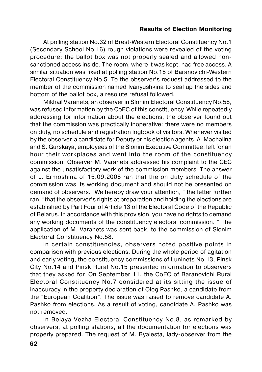At polling station No.32 of Brest-Western Electoral Constituency No.1 (Secondary School No.16) rough violations were revealed of the voting procedure: the ballot box was not properly sealed and allowed non sanctioned access inside. The room, where it was kept, had free access. A similar situation was fixed at polling station No.15 of Baranovichi-Western Electoral Constituency No.5. To the observer's request addressed to the member of the commission named Ivanyushkina to seal up the sides and bottom of the ballot box, a resolute refusal followed.

Mikhail Varanets, an observer in Slonim Electoral Constituency No.58, was refused information by the CoEC of this constituency. While repeatedly addressing for information about the elections, the observer found out that the commission was practically inoperative: there were no members on duty, no schedule and registration logbook of visitors. Whenever visited by the observer, a candidate for Deputy or his election agents, А. Machalina and S. Gurskaya, employees of the Slonim Executive Committee, left for an hour their workplaces and went into the room of the constituency commission. Observer M. Varanets addressed his complaint to the CEC against the unsatisfactory work of the commission members. The answer of L. Ermoshina of 15.09.2008 ran that the on duty schedule of the commission was its working document and should not be presented on demand of observers. "We hereby draw your attention, " the letter further ran, "that the observer's rights at preparation and holding the elections are established by Part Four of Article 13 of the Electoral Code of the Republic of Belarus. In accordance with this provision, you have no rights to demand any working documents of the constituency electoral commission. " The application of M. Varanets was sent back, to the commission of Slonim Electoral Constituency No.58.

In certain constituencies, observers noted positive points in comparison with previous elections. During the whole period of agitation and early voting, the constituency commissions of Luninets No.13, Pinsk City No.14 and Pinsk Rural No.15 presented information to observers that they asked for. On September 11, the CoEC of Baranovichi Rural Electoral Constituency No.7 considered at its sitting the issue of inaccuracy in the property declaration of Oleg Pashko, a candidate from the "European Coalition". The issue was raised to remove candidate А. Pashko from elections. As a result of voting, candidate А. Pashko was not removed.

In Belaya Vezha Electoral Constituency No.8, as remarked by observers, at polling stations, all the documentation for elections was properly prepared. The request of M. Byalesta, lady-observer from the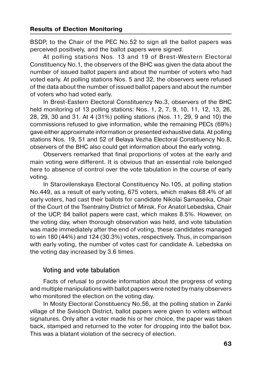BSDP, to the Chair of the PEC No.52 to sign all the ballot papers was perceived positively, and the ballot papers were signed.

At polling stations Nos. 13 and 19 of Brest-Western Electoral Constituency No.1, the observers of the BHC was given the data about the number of issued ballot papers and about the number of voters who had voted early. At polling stations Nos. 5 and 32, the observers were refused of the data about the number of issued ballot papers and about the number of voters who had voted early.

In Brest-Eastern Electoral Constituency No.3, observers of the BHC held monitoring of 13 polling stations: Nos. 1, 2, 7, 9, 10, 11, 12, 13, 26, 28, 29, 30 and 31. At 4 (31%) polling stations (Nos. 11, 29, 9 and 10) the commissions refused to give information, while the remaining PECs (69%) gave either approximate information or presented exhaustive data. At polling stations Nos. 19, 51 and 52 of Belaya Vezha Electoral Constituency No.8, observers of the BHC also could get information about the early voting.

Observers remarked that final proportions of votes at the early and main voting were different. It is obvious that an essential role belonged here to absence of control over the vote tabulation in the course of early voting.

In Starovilenskaya Electoral Constituency No.105, at polling station No.449, as a result of early voting, 675 voters, which makes 68.4% of all early voters, had cast their ballots for candidate Nikolai Samaseika, Chair of the Court of the Tsentralny District of Minsk. For Anatol Lebedska, Chair of the UCP, 84 ballot papers were cast, which makes 8.5%. However, on the voting day, when thorough observation was held, and vote tabulation was made immediately after the end of voting, these candidates managed to win 180 (44%) and 124 (30.3%) votes, respectively. Thus, in comparison with early voting, the number of votes cast for candidate А. Lebedska on the voting day increased by 3.6 times.

### **Voting and vote tabulation**

Facts of refusal to provide information about the progress of voting and multiple manipulations with ballot papers were noted by many observers who monitored the election on the voting day.

In Mosty Electoral Constituency No.56, at the polling station in Zanki village of the Svisloch District, ballot papers were given to voters without signatures. Only after a voter made his or her choice, the paper was taken back, stamped and returned to the voter for dropping into the ballot box. This was a blatant violation of the secrecy of election.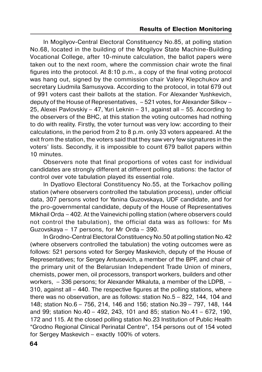In Mogilyov-Central Electoral Constituency No.85, at polling station No.68, located in the building of the Mogilyov State Machine-Building Vocational College, after 10-minute calculation, the ballot papers were taken out to the next room, where the commission chair wrote the final figures into the protocol. At 8:10 p.m., a copy of the final voting protocol was hang out, signed by the commission chair Valery Klepchukov and secretary Liudmila Samusyova. According to the protocol, in total 679 out of 991 voters cast their ballots at the station. For Alexander Yushkevich, deputy of the House of Representatives, – 521 votes, for Alexander Silkov – 25, Alexei Pavlovskiy – 47, Yuri Leknin – 31, against all – 55. According to the observers of the BHC, at this station the voting outcomes had nothing to do with reality. Firstly, the voter turnout was very low: according to their calculations, in the period from 2 to 8 p.m. only 33 voters appeared. At the exit from the station, the voters said that they saw very few signatures in the voters' lists. Secondly, it is impossible to count 679 ballot papers within 10 minutes.

Observers note that final proportions of votes cast for individual candidates are strongly different at different polling stations: the factor of control over vote tabulation played its essential role.

In Dyatlovo Electoral Constituency No.55, at the Torkachov polling station (where observers controlled the tabulation process), under official data, 307 persons voted for Yanina Guzovskaya, UDF candidate, and for the pro-governmental candidate, deputy of the House of Representatives Mikhail Orda – 402. At the Vainevichi polling station (where observers could not control the tabulation), the official data was as follows: for Ms Guzovskaya – 17 persons, for Mr Orda – 390.

In Grodno-Central Electoral Constituency No.50 at polling station No.42 (where observers controlled the tabulation) the voting outcomes were as follows: 521 persons voted for Sergey Maskevich, deputy of the House of Representatives; for Sergey Antusevich, a member of the BPF, and chair of the primary unit of the Belarusian Independent Trade Union of miners, chemists, power men, oil processors, transport workers, builders and other workers, – 336 persons; for Alexander Mikaluta, a member of the LDPB, – 310, against all – 440. The respective figures at the polling stations, where there was no observation, are as follows: station No.5 – 822, 144, 104 and 148; station No.6 – 756, 214, 146 and 156; station No.39 – 797, 148, 144 and 99; station No.40 – 492, 243, 101 and 85; station No.41 – 672, 190, 172 and 115. At the closed polling station No.23 Institution of Public Health "Grodno Regional Clinical Perinatal Centre", 154 persons out of 154 voted for Sergey Maskevich – exactly 100% of voters.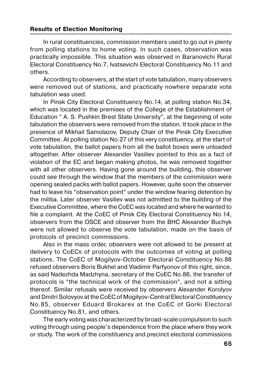In rural constituencies, commission members used to go out in plenty from polling stations to home voting. In such cases, observation was practically impossible. This situation was observed in Baranovichi Rural Electoral Constituency No.7, Ivatsevichi Electoral Constituency No.11 and others.

According to observers, at the start of vote tabulation, many observers were removed out of stations, and practically nowhere separate vote tabulation was used.

In Pinsk City Electoral Constituency No.14, at polling station No.34, which was located in the premises of the College of the Establishment of Education " А. S. Pushkin Brest State University", at the beginning of vote tabulation the observers were removed from the station. It took place in the presence of Mikhail Samolazov, Deputy Chair of the Pinsk City Executive Committee. At polling station No.27 of this very constituency, at the start of vote tabulation, the ballot papers from all the ballot boxes were unloaded altogether. After observer Alexander Vasiliev pointed to this as a fact of violation of the EC and began making photos, he was removed together with all other observers. Having gone around the building, this observer could see through the window that the members of the commission were opening sealed packs with ballot papers. However, quite soon the observer had to leave his "observation point" under the window fearing detention by the militia. Later observer Vasiliev was not admitted to the building of the Executive Committee, where the CoEC was located and where he wanted to file a complaint. At the CoEC of Pinsk City Electoral Constituency No.14, observers from the OSCE and observer from the BHC Alexander Buchyk were not allowed to observe the vote tabulation, made on the basis of protocols of precinct commissions.

Also in the mass order, observers were not allowed to be present at delivery to CoECs of protocols with the outcomes of voting at polling stations. The CoEC of Mogilyov-October Electoral Constituency No.86 refused observers Boris Bukhel and Vladimir Parfyonov of this right, since, as said Nadezhda Madzhyna, secretary of the CoEC No.86, the transfer of protocols is "the technical work of the commission", and not a sitting thereof. Similar refusals were received by observers Alexander Korolyov and Dmitri Solovyov at the CoEC of Mogilyov-Central Electoral Constituency No.85, observer Eduard Brokarev at the CoEC of Gorki Electoral Constituency No.81, and others.

The early voting was characterized by broad-scale compulsion to such voting through using people's dependence from the place where they work or study. The work of the constituency and precinct electoral commissions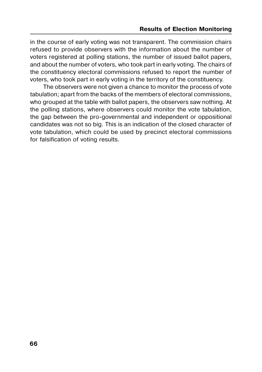in the course of early voting was not transparent. The commission chairs refused to provide observers with the information about the number of voters registered at polling stations, the number of issued ballot papers, and about the number of voters, who took part in early voting. The chairs of the constituency electoral commissions refused to report the number of voters, who took part in early voting in the territory of the constituency.

The observers were not given a chance to monitor the process of vote tabulation; apart from the backs of the members of electoral commissions, who grouped at the table with ballot papers, the observers saw nothing. At the polling stations, where observers could monitor the vote tabulation, the gap between the pro-governmental and independent or oppositional candidates was not so big. This is an indication of the closed character of vote tabulation, which could be used by precinct electoral commissions for falsification of voting results.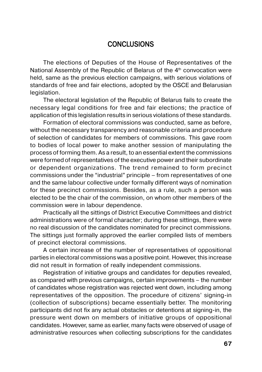## **CONCLUSIONS**

The elections of Deputies of the House of Representatives of the National Assembly of the Republic of Belarus of the  $4<sup>th</sup>$  convocation were held, same as the previous election campaigns, with serious violations of standards of free and fair elections, adopted by the OSCE and Belarusian legislation.

The electoral legislation of the Republic of Belarus fails to create the necessary legal conditions for free and fair elections; the practice of application of this legislation results in serious violations of these standards.

Formation of electoral commissions was conducted, same as before, without the necessary transparency and reasonable criteria and procedure of selection of candidates for members of commissions. This gave room to bodies of local power to make another session of manipulating the process of forming them. As a result, to an essential extent the commissions were formed of representatives of the executive power and their subordinate or dependent organizations. The trend remained to form precinct commissions under the "industrial" principle – from representatives of one and the same labour collective under formally different ways of nomination for these precinct commissions. Besides, as a rule, such a person was elected to be the chair of the commission, on whom other members of the commission were in labour dependence.

Practically all the sittings of District Executive Committees and district administrations were of formal character; during these sittings, there were no real discussion of the candidates nominated for precinct commissions. The sittings just formally approved the earlier compiled lists of members of precinct electoral commissions.

A certain increase of the number of representatives of oppositional parties in electoral commissions was a positive point. However, this increase did not result in formation of really independent commissions.

Registration of initiative groups and candidates for deputies revealed, as compared with previous campaigns, certain improvements – the number of candidates whose registration was rejected went down, including among representatives of the opposition. The procedure of citizens' signing-in (collection of subscriptions) became essentially better. The monitoring participants did not fix any actual obstacles or detentions at signing-in, the pressure went down on members of initiative groups of oppositional candidates. However, same as earlier, many facts were observed of usage of administrative resources when collecting subscriptions for the candidates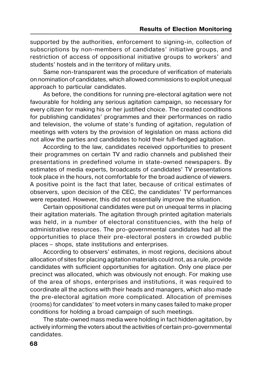supported by the authorities, enforcement to signing-in, collection of subscriptions by non-members of candidates' initiative groups, and restriction of access of oppositional initiative groups to workers' and students' hostels and in the territory of military units.

Same non-transparent was the procedure of verification of materials on nomination of candidates, which allowed commissions to exploit unequal approach to particular candidates.

As before, the conditions for running pre-electoral agitation were not favourable for holding any serious agitation campaign, so necessary for every citizen for making his or her justified choice. The created conditions for publishing candidates' programmes and their performances on radio and television, the volume of state's funding of agitation, regulation of meetings with voters by the provision of legislation on mass actions did not allow the parties and candidates to hold their full-fledged agitation.

According to the law, candidates received opportunities to present their programmes on certain TV and radio channels and published their presentations in predefined volume in state-owned newspapers. By estimates of media experts, broadcasts of candidates' TV presentations took place in the hours, not comfortable for the broad audience of viewers. A positive point is the fact that later, because of critical estimates of observers, upon decision of the CEC, the candidates' TV performances were repeated. However, this did not essentially improve the situation.

Certain oppositional candidates were put on unequal terms in placing their agitation materials. The agitation through printed agitation materials was held, in a number of electoral constituencies, with the help of administrative resources. The pro-governmental candidates had all the opportunities to place their pre-electoral posters in crowded public places – shops, state institutions and enterprises.

According to observers' estimates, in most regions, decisions about allocation of sites for placing agitation materials could not, as a rule, provide candidates with sufficient opportunities for agitation. Only one place per precinct was allocated, which was obviously not enough. For making use of the area of shops, enterprises and institutions, it was required to coordinate all the actions with their heads and managers, which also made the pre-electoral agitation more complicated. Allocation of premises (rooms) for candidates' to meet voters in many cases failed to make proper conditions for holding a broad campaign of such meetings.

The state-owned mass media were holding in fact hidden agitation, by actively informing the voters about the activities of certain pro-governmental candidates.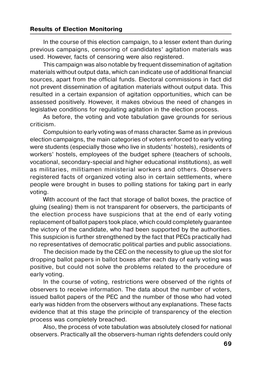In the course of this election campaign, to a lesser extent than during previous campaigns, censoring of candidates' agitation materials was used. However, facts of censoring were also registered.

This campaign was also notable by frequent dissemination of agitation materials without output data, which can indicate use of additional financial sources, apart from the official funds. Electoral commissions in fact did not prevent dissemination of agitation materials without output data. This resulted in a certain expansion of agitation opportunities, which can be assessed positively. However, it makes obvious the need of changes in legislative conditions for regulating agitation in the election process.

As before, the voting and vote tabulation gave grounds for serious criticism.

Compulsion to early voting was of mass character. Same as in previous election campaigns, the main categories of voters enforced to early voting were students (especially those who live in students' hostels), residents of workers' hostels, employees of the budget sphere (teachers of schools, vocational, secondary-special and higher educational institutions), as well as militaries, militiamen ministerial workers and others. Observers registered facts of organized voting also in certain settlements, where people were brought in buses to polling stations for taking part in early voting.

With account of the fact that storage of ballot boxes, the practice of gluing (sealing) them is not transparent for observers, the participants of the election process have suspicions that at the end of early voting replacement of ballot papers took place, which could completely guarantee the victory of the candidate, who had been supported by the authorities. This suspicion is further strengthened by the fact that PECs practically had no representatives of democratic political parties and public associations.

The decision made by the CEC on the necessity to glue up the slot for dropping ballot papers in ballot boxes after each day of early voting was positive, but could not solve the problems related to the procedure of early voting.

In the course of voting, restrictions were observed of the rights of observers to receive information. The data about the number of voters, issued ballot papers of the PEC and the number of those who had voted early was hidden from the observers without any explanations. These facts evidence that at this stage the principle of transparency of the election process was completely breached.

Also, the process of vote tabulation was absolutely closed for national observers. Practically all the observers-human rights defenders could only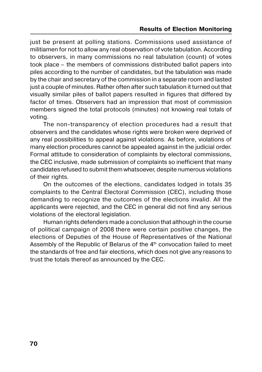just be present at polling stations. Commissions used assistance of militiamen for not to allow any real observation of vote tabulation. According to observers, in many commissions no real tabulation (count) of votes took place – the members of commissions distributed ballot papers into piles according to the number of candidates, but the tabulation was made by the chair and secretary of the commission in a separate room and lasted just a couple of minutes. Rather often after such tabulation it turned out that visually similar piles of ballot papers resulted in figures that differed by factor of times. Observers had an impression that most of commission members signed the total protocols (minutes) not knowing real totals of voting.

The non-transparency of election procedures had a result that observers and the candidates whose rights were broken were deprived of any real possibilities to appeal against violations. As before, violations of many election procedures cannot be appealed against in the judicial order. Formal attitude to consideration of complaints by electoral commissions, the CEC inclusive, made submission of complaints so inefficient that many candidates refused to submit them whatsoever, despite numerous violations of their rights.

On the outcomes of the elections, candidates lodged in totals 35 complaints to the Central Electoral Commission (CEC), including those demanding to recognize the outcomes of the elections invalid. All the applicants were rejected, and the CEC in general did not find any serious violations of the electoral legislation.

Human rights defenders made a conclusion that although in the course of political campaign of 2008 there were certain positive changes, the elections of Deputies of the House of Representatives of the National Assembly of the Republic of Belarus of the  $4<sup>th</sup>$  convocation failed to meet the standards of free and fair elections, which does not give any reasons to trust the totals thereof as announced by the CEC.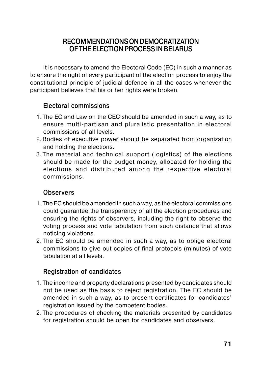## **RECOMMENDATIONS ON DEMOCRATIZATION OF THE ELECTION PROCESS IN BELARUS**

It is necessary to amend the Electoral Code (EC) in such a manner as to ensure the right of every participant of the election process to enjoy the constitutional principle of judicial defence in all the cases whenever the participant believes that his or her rights were broken.

## **Electoral commissions**

- 1. The EC and Law on the CEC should be amended in such a way, as to ensure multi-partisan and pluralistic presentation in electoral commissions of all levels.
- 2.Bodies of executive power should be separated from organization and holding the elections.
- 3.The material and technical support (logistics) of the elections should be made for the budget money, allocated for holding the elections and distributed among the respective electoral commissions.

## **Observers**

- 1. The EC should be amended in such a way, as the electoral commissions could guarantee the transparency of all the election procedures and ensuring the rights of observers, including the right to observe the voting process and vote tabulation from such distance that allows noticing violations.
- 2. The EC should be amended in such a way, as to oblige electoral commissions to give out copies of final protocols (minutes) of vote tabulation at all levels.

## **Registration of candidates**

- 1. The income and property declarations presented by candidates should not be used as the basis to reject registration. The EC should be amended in such a way, as to present certificates for candidates' registration issued by the competent bodies.
- 2. The procedures of checking the materials presented by candidates for registration should be open for candidates and observers.